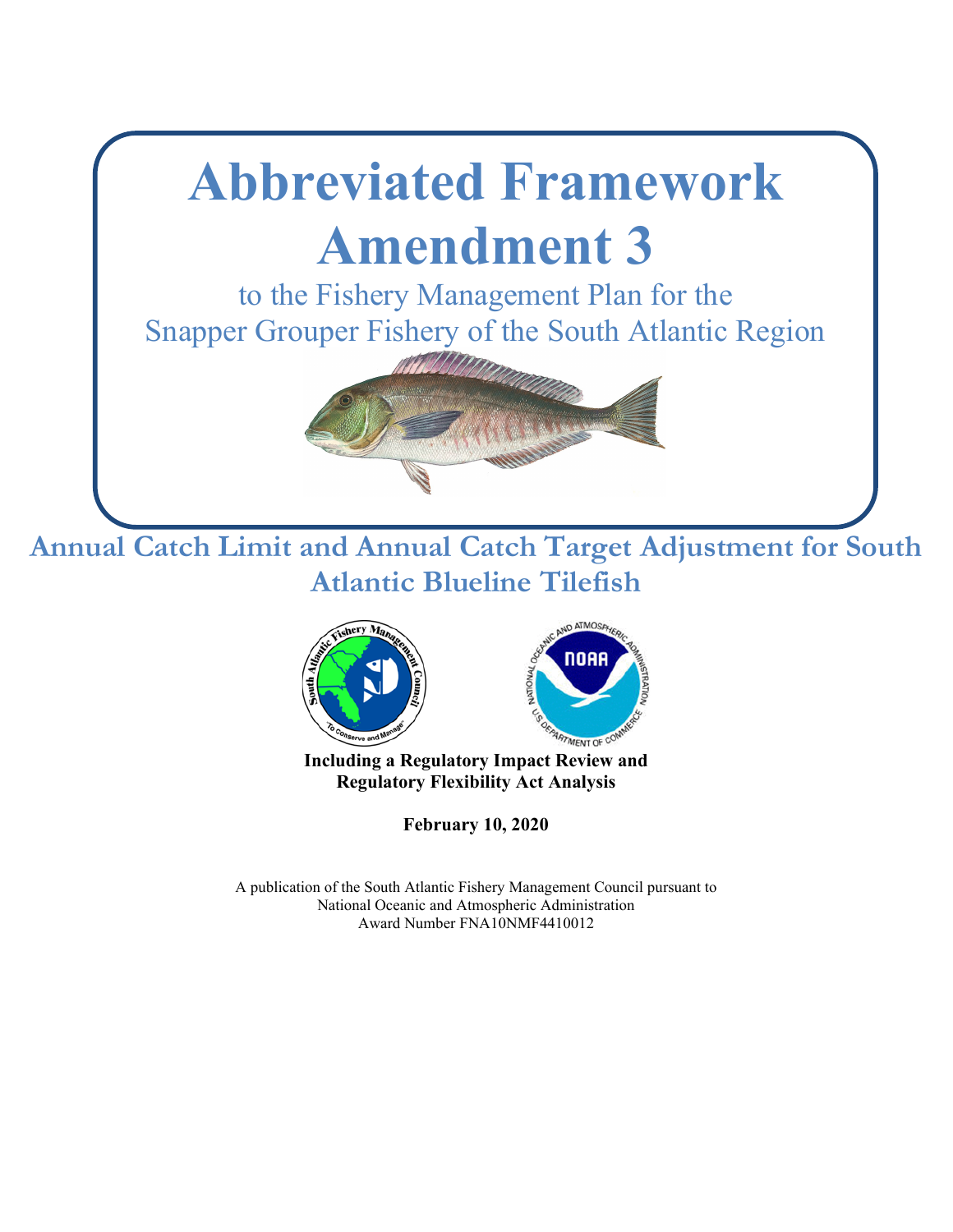

**Annual Catch Limit and Annual Catch Target Adjustment for South Atlantic Blueline Tilefish**





**Including a Regulatory Impact Review and Including a Regulatory Impact Review and Regulatory Flexibility Act Analysis**

**February 10, 2020**

A publication of the South Atlantic Fishery Management Council pursuant to National Oceanic and Atmospheric Administration Award Number FNA10NMF4410012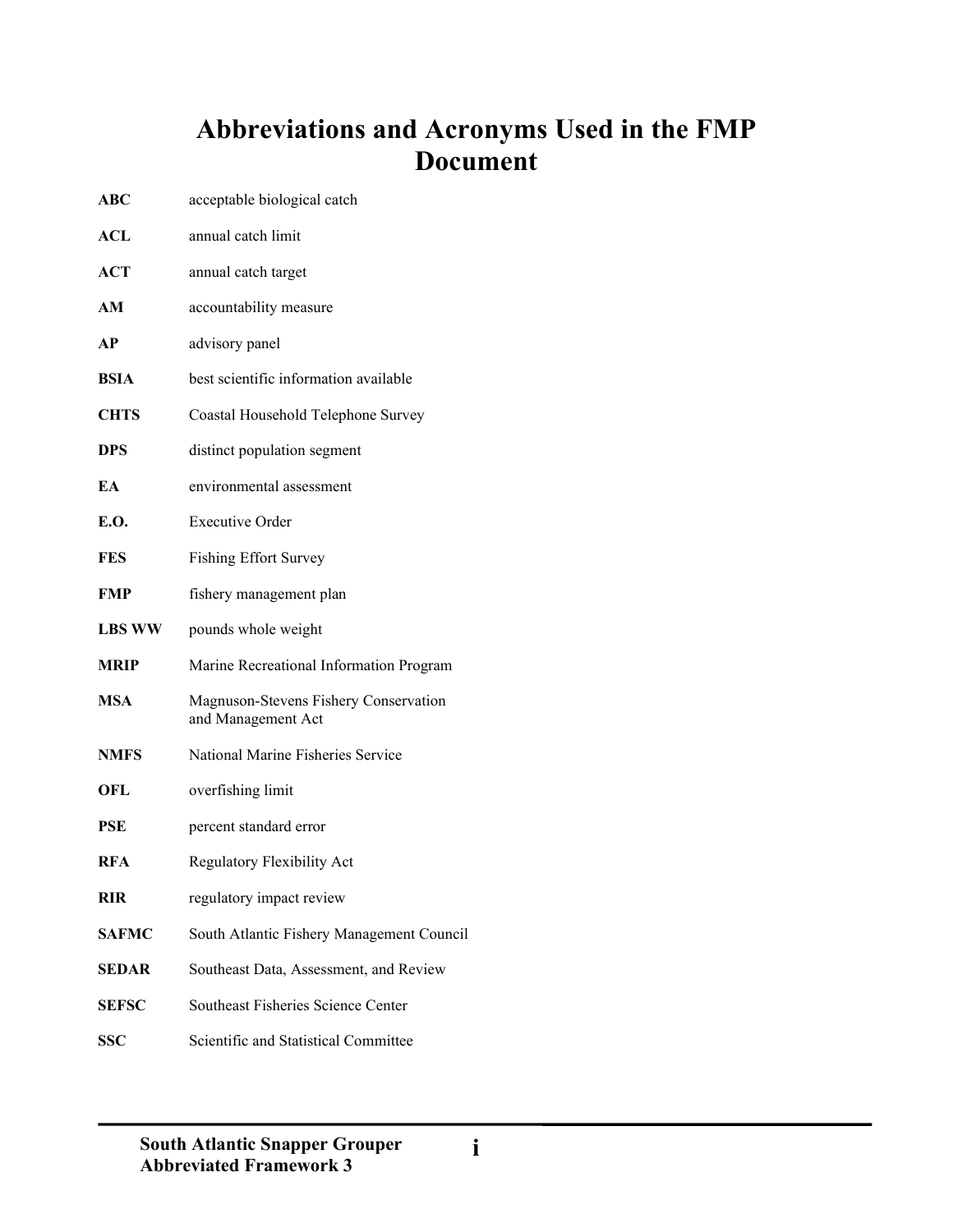## **Abbreviations and Acronyms Used in the FMP Document**

| ABC           | acceptable biological catch                                 |
|---------------|-------------------------------------------------------------|
| ACL           | annual catch limit                                          |
| ACT           | annual catch target                                         |
| AM            | accountability measure                                      |
| АP            | advisory panel                                              |
| BSIA          | best scientific information available                       |
| <b>CHTS</b>   | Coastal Household Telephone Survey                          |
| <b>DPS</b>    | distinct population segment                                 |
| EA            | environmental assessment                                    |
| E.O.          | <b>Executive Order</b>                                      |
| <b>FES</b>    | <b>Fishing Effort Survey</b>                                |
| FMP           | fishery management plan                                     |
| <b>LBS WW</b> | pounds whole weight                                         |
| <b>MRIP</b>   | Marine Recreational Information Program                     |
| <b>MSA</b>    | Magnuson-Stevens Fishery Conservation<br>and Management Act |
| <b>NMFS</b>   | National Marine Fisheries Service                           |
| OFL           | overfishing limit                                           |
| <b>PSE</b>    | percent standard error                                      |
| <b>RFA</b>    | Regulatory Flexibility Act                                  |
| <b>RIR</b>    | regulatory impact review                                    |
| <b>SAFMC</b>  | South Atlantic Fishery Management Council                   |
| <b>SEDAR</b>  | Southeast Data, Assessment, and Review                      |
| <b>SEFSC</b>  | Southeast Fisheries Science Center                          |
| <b>SSC</b>    | Scientific and Statistical Committee                        |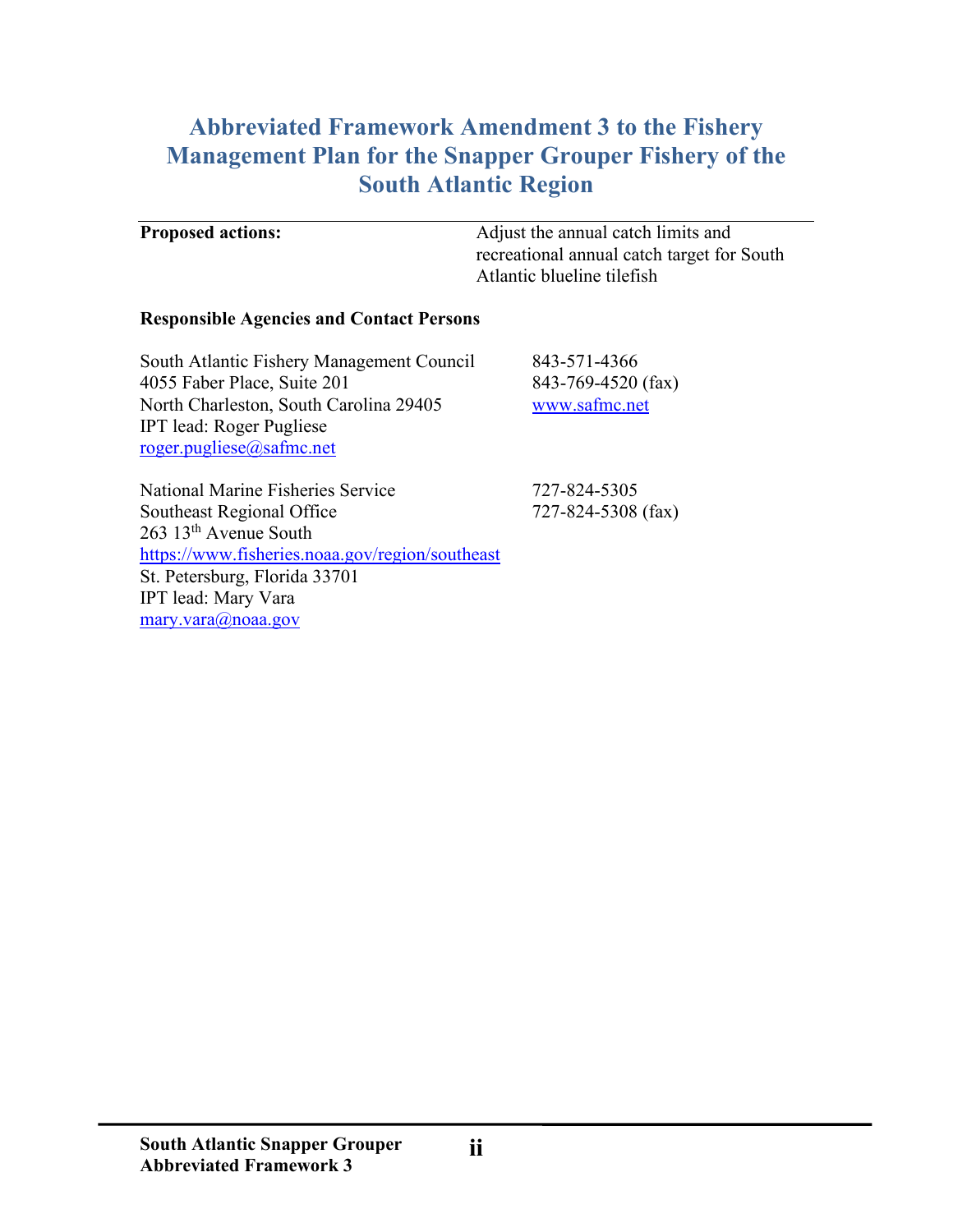## **Abbreviated Framework Amendment 3 to the Fishery Management Plan for the Snapper Grouper Fishery of the South Atlantic Region**

| <b>Proposed actions:</b>                        | Adjust the annual catch limits and<br>recreational annual catch target for South<br>Atlantic blueline tilefish |  |  |  |
|-------------------------------------------------|----------------------------------------------------------------------------------------------------------------|--|--|--|
| <b>Responsible Agencies and Contact Persons</b> |                                                                                                                |  |  |  |
| South Atlantic Fishery Management Council       | 843-571-4366                                                                                                   |  |  |  |

4055 Faber Place, Suite 201 843-769-4520 (fax) North Charleston, South Carolina 29405 [www.safmc.net](http://www.safmc.net/) IPT lead: Roger Pugliese [roger.pugliese@safmc.net](mailto:roger.pugliese@safmc.net)

National Marine Fisheries Service 727-824-5305 Southeast Regional Office 727-824-5308 (fax) 263 13th Avenue South <https://www.fisheries.noaa.gov/region/southeast> St. Petersburg, Florida 33701 IPT lead: Mary Vara [mary.vara@noaa.gov](mailto:mary.vara@noaa.gov)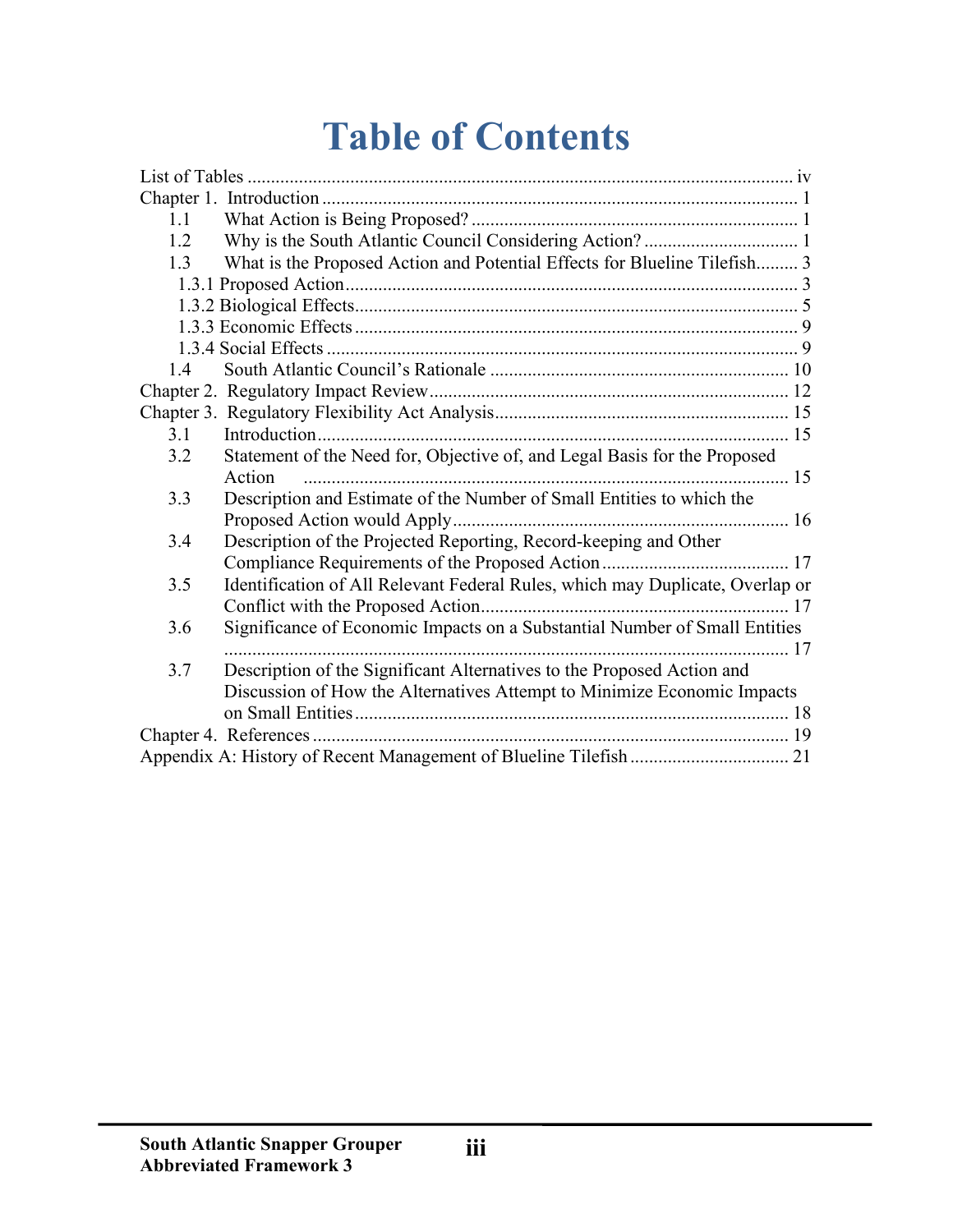## **Table of Contents**

| 1.1 |                                                                               |
|-----|-------------------------------------------------------------------------------|
| 1.2 |                                                                               |
| 1.3 | What is the Proposed Action and Potential Effects for Blueline Tilefish 3     |
|     |                                                                               |
|     |                                                                               |
|     |                                                                               |
|     |                                                                               |
| 1.4 |                                                                               |
|     |                                                                               |
|     |                                                                               |
| 3.1 |                                                                               |
| 3.2 | Statement of the Need for, Objective of, and Legal Basis for the Proposed     |
|     | Action                                                                        |
| 3.3 | Description and Estimate of the Number of Small Entities to which the         |
|     |                                                                               |
| 3.4 | Description of the Projected Reporting, Record-keeping and Other              |
|     |                                                                               |
| 3.5 | Identification of All Relevant Federal Rules, which may Duplicate, Overlap or |
|     |                                                                               |
| 3.6 | Significance of Economic Impacts on a Substantial Number of Small Entities    |
|     |                                                                               |
| 3.7 | Description of the Significant Alternatives to the Proposed Action and        |
|     | Discussion of How the Alternatives Attempt to Minimize Economic Impacts       |
|     |                                                                               |
|     |                                                                               |
|     |                                                                               |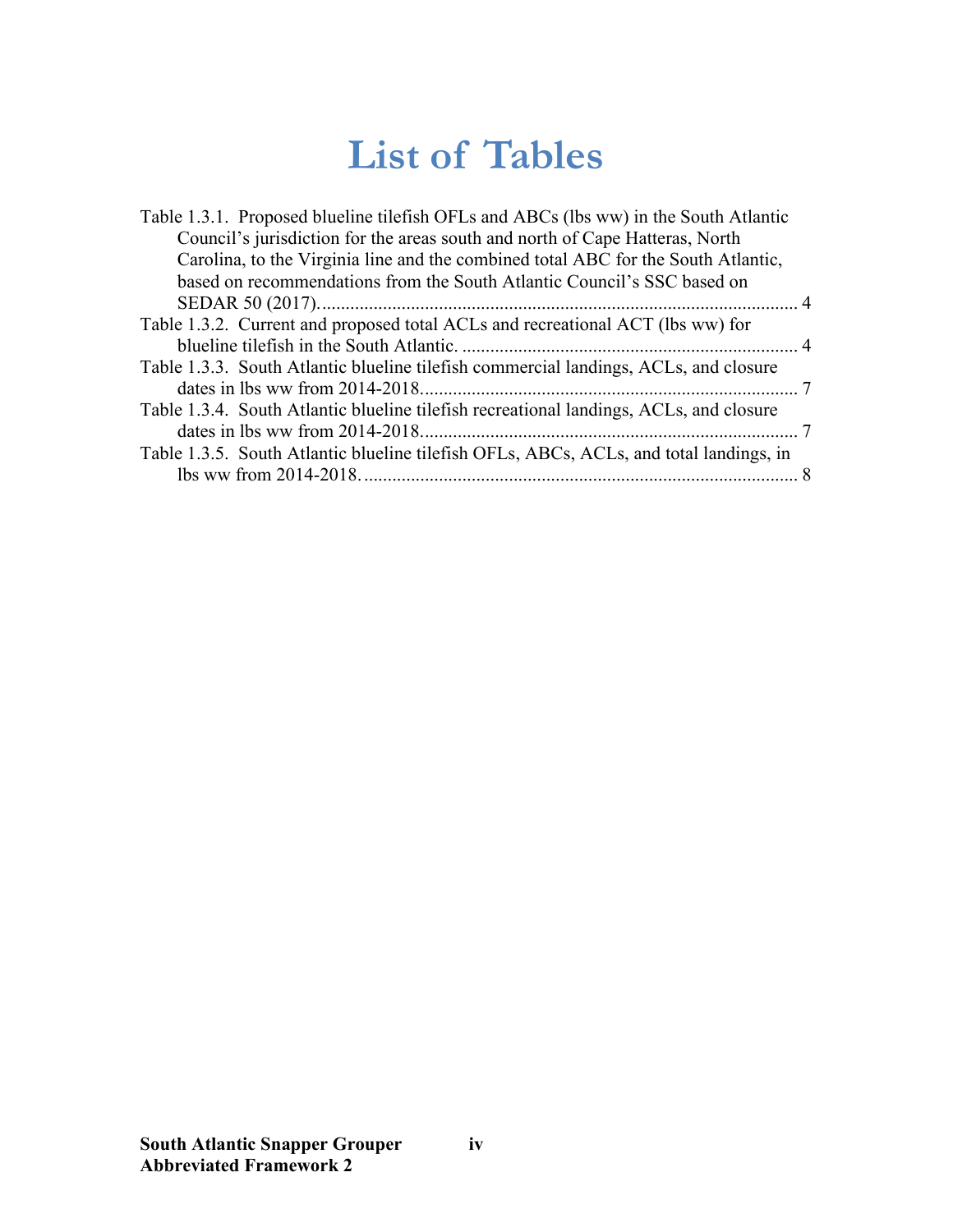## **List of Tables**

<span id="page-4-0"></span>

| Table 1.3.1. Proposed blueline tilefish OFLs and ABCs (lbs ww) in the South Atlantic   |  |
|----------------------------------------------------------------------------------------|--|
| Council's jurisdiction for the areas south and north of Cape Hatteras, North           |  |
| Carolina, to the Virginia line and the combined total ABC for the South Atlantic,      |  |
| based on recommendations from the South Atlantic Council's SSC based on                |  |
|                                                                                        |  |
| Table 1.3.2. Current and proposed total ACLs and recreational ACT (lbs ww) for         |  |
|                                                                                        |  |
| Table 1.3.3. South Atlantic blueline tilefish commercial landings, ACLs, and closure   |  |
|                                                                                        |  |
| Table 1.3.4. South Atlantic blueline tilefish recreational landings, ACLs, and closure |  |
|                                                                                        |  |
| Table 1.3.5. South Atlantic blueline tilefish OFLs, ABCs, ACLs, and total landings, in |  |
|                                                                                        |  |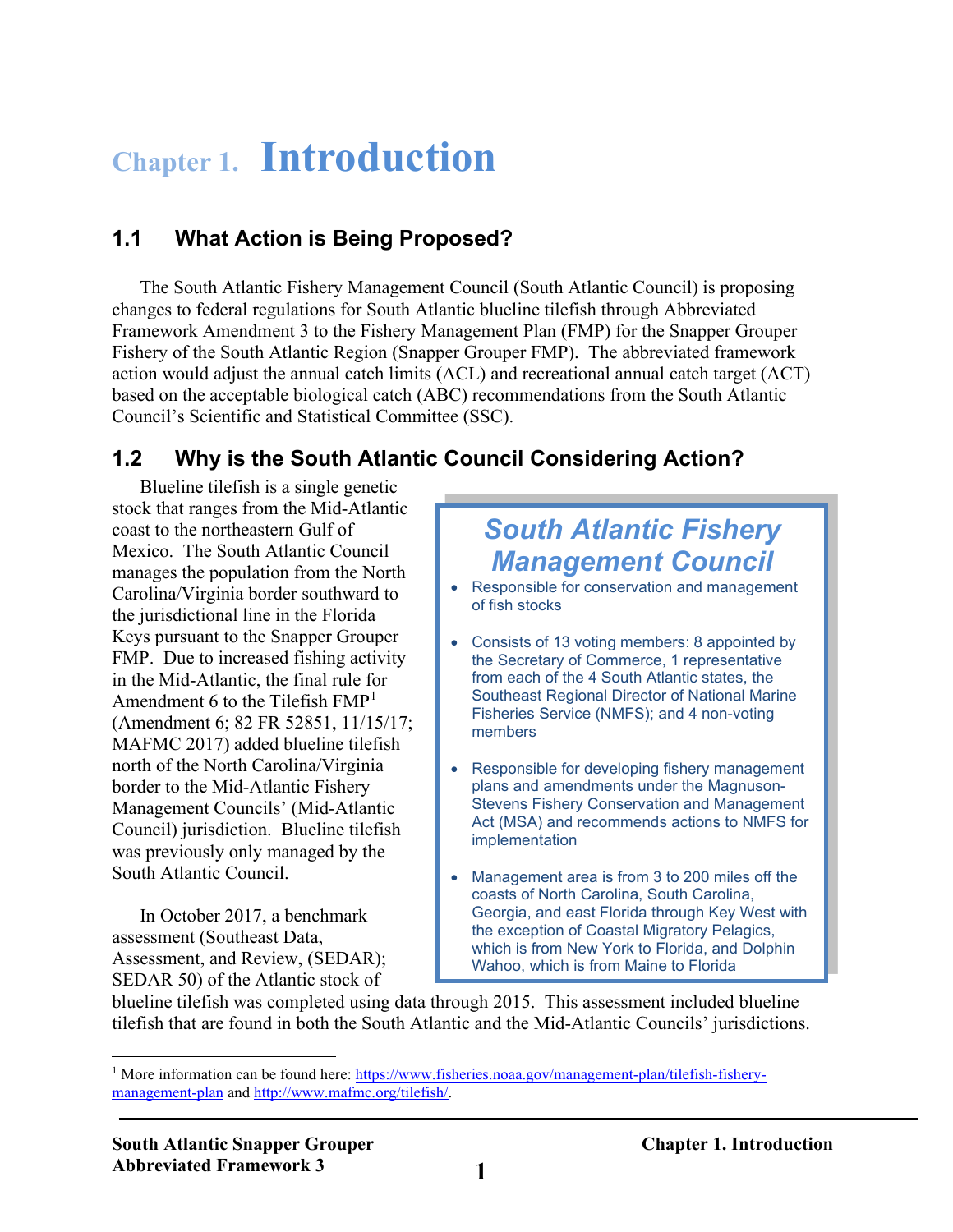## <span id="page-5-0"></span>**Chapter 1. Introduction**

### <span id="page-5-1"></span>**1.1 What Action is Being Proposed?**

The South Atlantic Fishery Management Council (South Atlantic Council) is proposing changes to federal regulations for South Atlantic blueline tilefish through Abbreviated Framework Amendment 3 to the Fishery Management Plan (FMP) for the Snapper Grouper Fishery of the South Atlantic Region (Snapper Grouper FMP). The abbreviated framework action would adjust the annual catch limits (ACL) and recreational annual catch target (ACT) based on the acceptable biological catch (ABC) recommendations from the South Atlantic Council's Scientific and Statistical Committee (SSC).

#### <span id="page-5-2"></span>**1.2 Why is the South Atlantic Council Considering Action?**

Blueline tilefish is a single genetic stock that ranges from the Mid-Atlantic coast to the northeastern Gulf of Mexico. The South Atlantic Council manages the population from the North Carolina/Virginia border southward to the jurisdictional line in the Florida Keys pursuant to the Snapper Grouper FMP. Due to increased fishing activity in the Mid-Atlantic, the final rule for Amendment 6 to the Tilefish  $FMP<sup>1</sup>$  $FMP<sup>1</sup>$  $FMP<sup>1</sup>$ (Amendment 6; 82 FR 52851, 11/15/17; MAFMC 2017) added blueline tilefish north of the North Carolina/Virginia border to the Mid-Atlantic Fishery Management Councils' (Mid-Atlantic Council) jurisdiction. Blueline tilefish was previously only managed by the South Atlantic Council.

In October 2017, a benchmark assessment (Southeast Data, Assessment, and Review, (SEDAR); SEDAR 50) of the Atlantic stock of

## *South Atlantic Fishery Management Council*

- Responsible for conservation and management of fish stocks
- Consists of 13 voting members: 8 appointed by the Secretary of Commerce, 1 representative from each of the 4 South Atlantic states, the Southeast Regional Director of National Marine Fisheries Service (NMFS); and 4 non-voting members
- Responsible for developing fishery management plans and amendments under the Magnuson-Stevens Fishery Conservation and Management Act (MSA) and recommends actions to NMFS for implementation
- Management area is from 3 to 200 miles off the coasts of North Carolina, South Carolina, Georgia, and east Florida through Key West with the exception of Coastal Migratory Pelagics, which is from New York to Florida, and Dolphin Wahoo, which is from Maine to Florida

blueline tilefish was completed using data through 2015. This assessment included blueline tilefish that are found in both the South Atlantic and the Mid-Atlantic Councils' jurisdictions.

<span id="page-5-3"></span><sup>&</sup>lt;sup>1</sup> More information can be found here: [https://www.fisheries.noaa.gov/management-plan/tilefish-fishery](https://www.fisheries.noaa.gov/management-plan/tilefish-fishery-management-plan)[management-plan](https://www.fisheries.noaa.gov/management-plan/tilefish-fishery-management-plan) and [http://www.mafmc.org/tilefish/.](http://www.mafmc.org/tilefish/)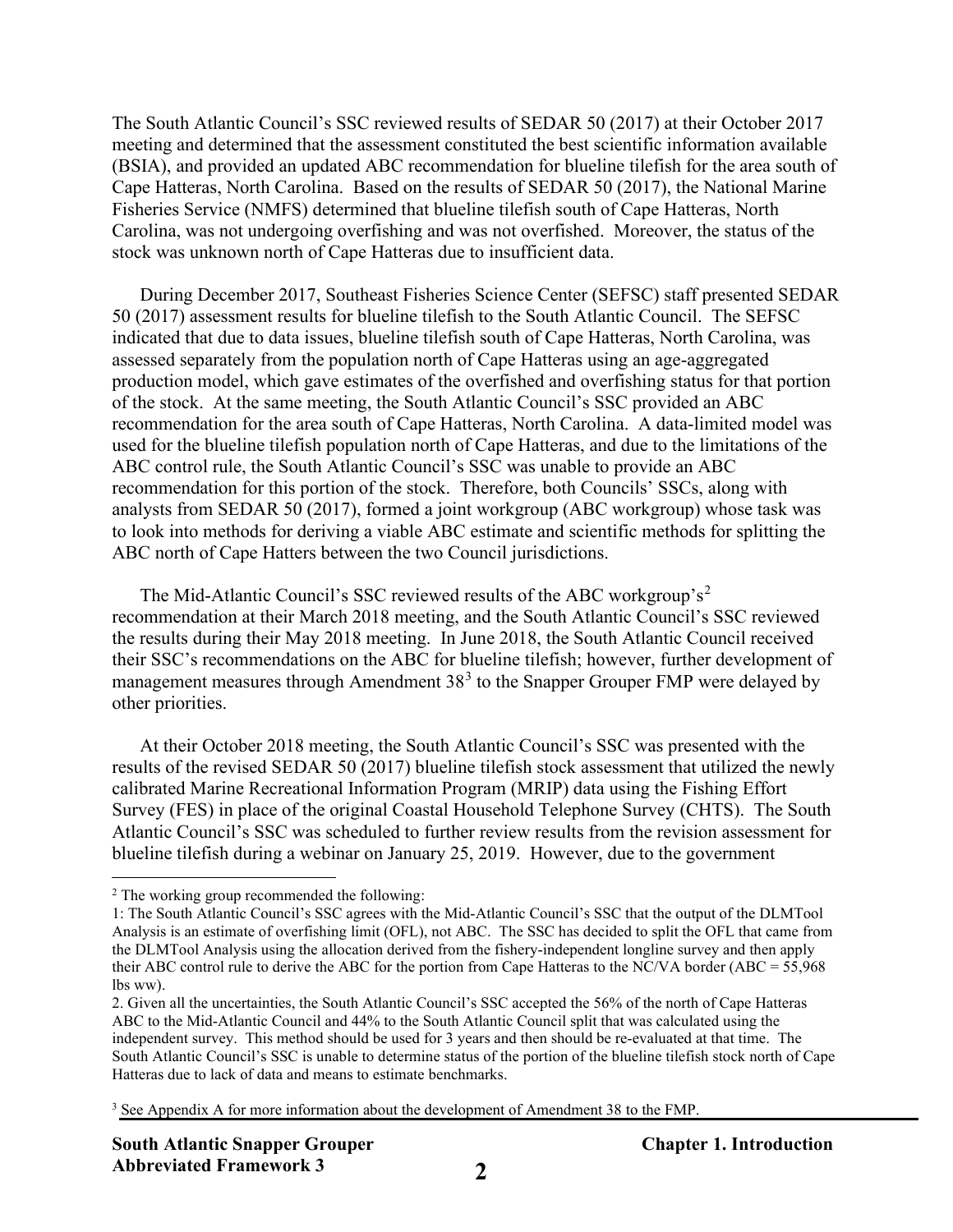The South Atlantic Council's SSC reviewed results of SEDAR 50 (2017) at their October 2017 meeting and determined that the assessment constituted the best scientific information available (BSIA), and provided an updated ABC recommendation for blueline tilefish for the area south of Cape Hatteras, North Carolina. Based on the results of SEDAR 50 (2017), the National Marine Fisheries Service (NMFS) determined that blueline tilefish south of Cape Hatteras, North Carolina, was not undergoing overfishing and was not overfished. Moreover, the status of the stock was unknown north of Cape Hatteras due to insufficient data.

During December 2017, Southeast Fisheries Science Center (SEFSC) staff presented SEDAR 50 (2017) assessment results for blueline tilefish to the South Atlantic Council. The SEFSC indicated that due to data issues, blueline tilefish south of Cape Hatteras, North Carolina, was assessed separately from the population north of Cape Hatteras using an age-aggregated production model, which gave estimates of the overfished and overfishing status for that portion of the stock. At the same meeting, the South Atlantic Council's SSC provided an ABC recommendation for the area south of Cape Hatteras, North Carolina. A data-limited model was used for the blueline tilefish population north of Cape Hatteras, and due to the limitations of the ABC control rule, the South Atlantic Council's SSC was unable to provide an ABC recommendation for this portion of the stock. Therefore, both Councils' SSCs, along with analysts from SEDAR 50 (2017), formed a joint workgroup (ABC workgroup) whose task was to look into methods for deriving a viable ABC estimate and scientific methods for splitting the ABC north of Cape Hatters between the two Council jurisdictions.

The Mid-Atlantic Council's SSC reviewed results of the ABC workgroup's<sup>[2](#page-6-0)</sup> recommendation at their March 2018 meeting, and the South Atlantic Council's SSC reviewed the results during their May 2018 meeting. In June 2018, the South Atlantic Council received their SSC's recommendations on the ABC for blueline tilefish; however, further development of management measures through Amendment  $38<sup>3</sup>$  $38<sup>3</sup>$  to the Snapper Grouper FMP were delayed by other priorities.

At their October 2018 meeting, the South Atlantic Council's SSC was presented with the results of the revised SEDAR 50 (2017) blueline tilefish stock assessment that utilized the newly calibrated Marine Recreational Information Program (MRIP) data using the Fishing Effort Survey (FES) in place of the original Coastal Household Telephone Survey (CHTS). The South Atlantic Council's SSC was scheduled to further review results from the revision assessment for blueline tilefish during a webinar on January 25, 2019. However, due to the government

<span id="page-6-0"></span><sup>&</sup>lt;sup>2</sup> The working group recommended the following:

<sup>1:</sup> The South Atlantic Council's SSC agrees with the Mid-Atlantic Council's SSC that the output of the DLMTool Analysis is an estimate of overfishing limit (OFL), not ABC. The SSC has decided to split the OFL that came from the DLMTool Analysis using the allocation derived from the fishery-independent longline survey and then apply their ABC control rule to derive the ABC for the portion from Cape Hatteras to the NC/VA border (ABC = 55,968 lbs ww).

<sup>2.</sup> Given all the uncertainties, the South Atlantic Council's SSC accepted the 56% of the north of Cape Hatteras ABC to the Mid-Atlantic Council and 44% to the South Atlantic Council split that was calculated using the independent survey. This method should be used for 3 years and then should be re-evaluated at that time. The South Atlantic Council's SSC is unable to determine status of the portion of the blueline tilefish stock north of Cape Hatteras due to lack of data and means to estimate benchmarks.

<span id="page-6-1"></span><sup>&</sup>lt;sup>3</sup> See Appendix A for more information about the development of Amendment 38 to the FMP.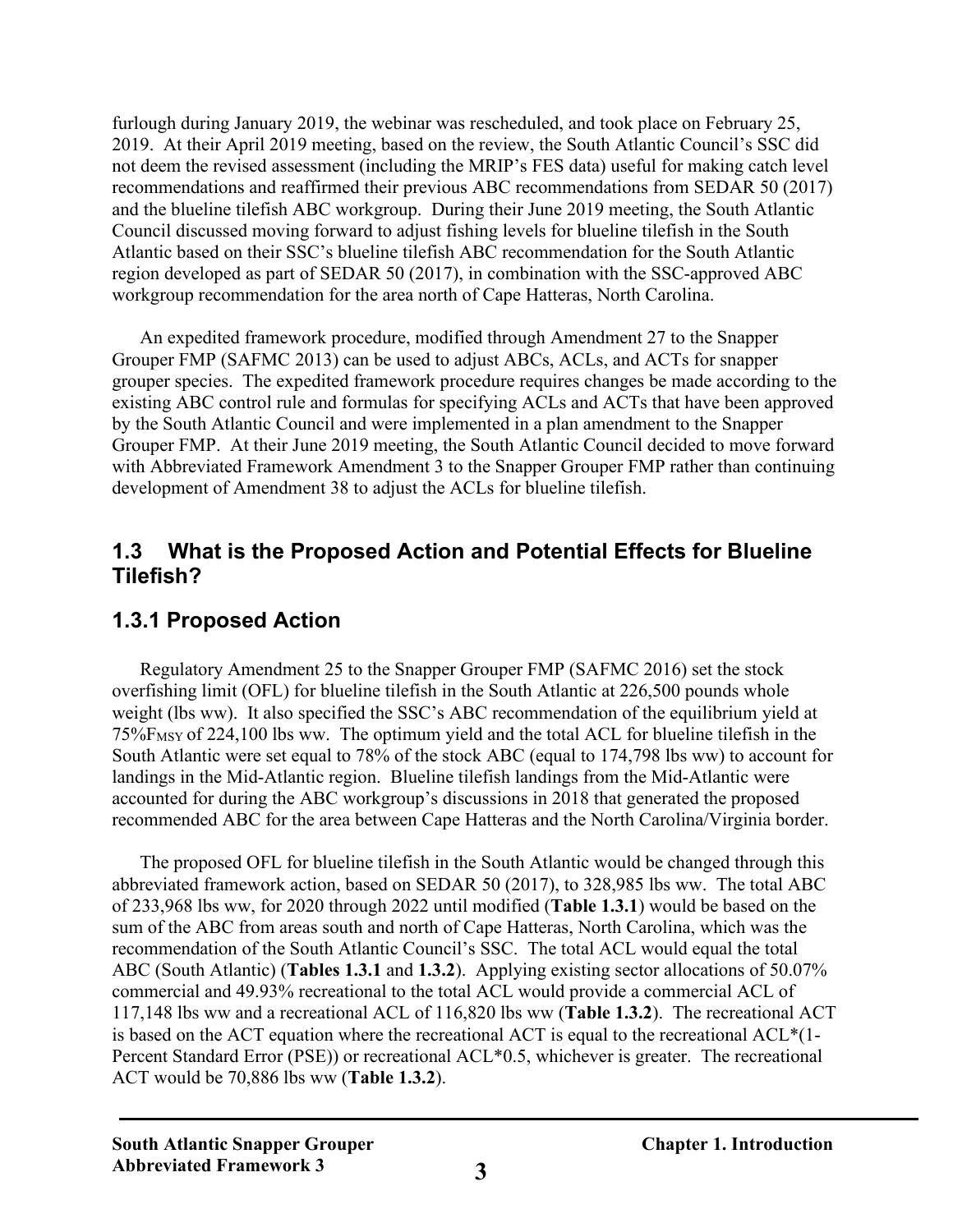furlough during January 2019, the webinar was rescheduled, and took place on February 25, 2019. At their April 2019 meeting, based on the review, the South Atlantic Council's SSC did not deem the revised assessment (including the MRIP's FES data) useful for making catch level recommendations and reaffirmed their previous ABC recommendations from SEDAR 50 (2017) and the blueline tilefish ABC workgroup. During their June 2019 meeting, the South Atlantic Council discussed moving forward to adjust fishing levels for blueline tilefish in the South Atlantic based on their SSC's blueline tilefish ABC recommendation for the South Atlantic region developed as part of SEDAR 50 (2017), in combination with the SSC-approved ABC workgroup recommendation for the area north of Cape Hatteras, North Carolina.

An expedited framework procedure, modified through Amendment 27 to the Snapper Grouper FMP (SAFMC 2013) can be used to adjust ABCs, ACLs, and ACTs for snapper grouper species. The expedited framework procedure requires changes be made according to the existing ABC control rule and formulas for specifying ACLs and ACTs that have been approved by the South Atlantic Council and were implemented in a plan amendment to the Snapper Grouper FMP. At their June 2019 meeting, the South Atlantic Council decided to move forward with Abbreviated Framework Amendment 3 to the Snapper Grouper FMP rather than continuing development of Amendment 38 to adjust the ACLs for blueline tilefish.

#### <span id="page-7-0"></span>**1.3 What is the Proposed Action and Potential Effects for Blueline Tilefish?**

### <span id="page-7-1"></span>**1.3.1 Proposed Action**

Regulatory Amendment 25 to the Snapper Grouper FMP (SAFMC 2016) set the stock overfishing limit (OFL) for blueline tilefish in the South Atlantic at 226,500 pounds whole weight (lbs ww). It also specified the SSC's ABC recommendation of the equilibrium yield at  $75\%$ F<sub>MSY</sub> of 224,100 lbs ww. The optimum yield and the total ACL for blueline tilefish in the South Atlantic were set equal to 78% of the stock ABC (equal to 174,798 lbs ww) to account for landings in the Mid-Atlantic region. Blueline tilefish landings from the Mid-Atlantic were accounted for during the ABC workgroup's discussions in 2018 that generated the proposed recommended ABC for the area between Cape Hatteras and the North Carolina/Virginia border.

The proposed OFL for blueline tilefish in the South Atlantic would be changed through this abbreviated framework action, based on SEDAR 50 (2017), to 328,985 lbs ww. The total ABC of 233,968 lbs ww, for 2020 through 2022 until modified (**Table 1.3.1**) would be based on the sum of the ABC from areas south and north of Cape Hatteras, North Carolina, which was the recommendation of the South Atlantic Council's SSC. The total ACL would equal the total ABC (South Atlantic) (**Tables 1.3.1** and **1.3.2**). Applying existing sector allocations of 50.07% commercial and 49.93% recreational to the total ACL would provide a commercial ACL of 117,148 lbs ww and a recreational ACL of 116,820 lbs ww (**Table 1.3.2**). The recreational ACT is based on the ACT equation where the recreational ACT is equal to the recreational ACL\*(1- Percent Standard Error (PSE)) or recreational ACL\*0.5, whichever is greater. The recreational ACT would be 70,886 lbs ww (**Table 1.3.2**).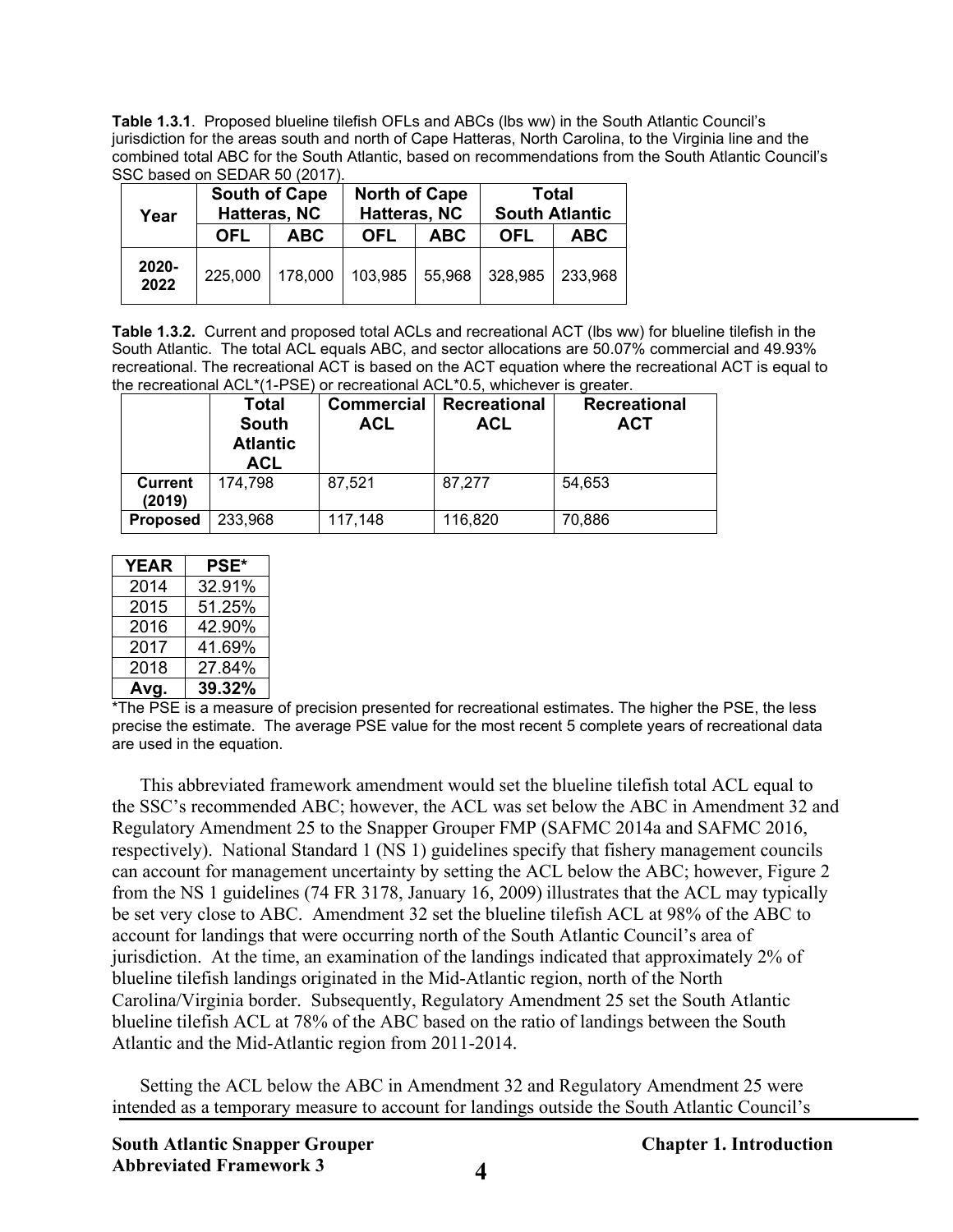<span id="page-8-0"></span>**Table 1.3.1**. Proposed blueline tilefish OFLs and ABCs (lbs ww) in the South Atlantic Council's jurisdiction for the areas south and north of Cape Hatteras, North Carolina, to the Virginia line and the combined total ABC for the South Atlantic, based on recommendations from the South Atlantic Council's SSC based on SEDAR 50 (2017).

| Year          | <b>South of Cape</b> | Hatteras, NC | <b>North of Cape</b><br>Hatteras, NC |        | <b>Total</b><br><b>South Atlantic</b> |         |  |
|---------------|----------------------|--------------|--------------------------------------|--------|---------------------------------------|---------|--|
|               | OFL<br><b>ABC</b>    |              | <b>OFL</b><br><b>ABC</b>             |        | OFL<br><b>ABC</b>                     |         |  |
| 2020-<br>2022 | 225,000              | 178,000      | 103,985                              | 55,968 | 328,985                               | 233,968 |  |

<span id="page-8-1"></span>**Table 1.3.2.** Current and proposed total ACLs and recreational ACT (lbs ww) for blueline tilefish in the South Atlantic. The total ACL equals ABC, and sector allocations are 50.07% commercial and 49.93% recreational. The recreational ACT is based on the ACT equation where the recreational ACT is equal to the recreational ACL\*(1-PSE) or recreational ACL\*0.5, whichever is greater.

|                          | Total<br><b>South</b><br><b>Atlantic</b><br><b>ACL</b> | <b>Commercial</b><br>ACL | <b>Recreational</b><br><b>ACL</b> | <b>Recreational</b><br><b>ACT</b> |
|--------------------------|--------------------------------------------------------|--------------------------|-----------------------------------|-----------------------------------|
| <b>Current</b><br>(2019) | 174,798                                                | 87,521                   | 87,277                            | 54,653                            |
| <b>Proposed</b>          | 233,968                                                | 117,148                  | 116,820                           | 70,886                            |

| <b>YEAR</b> | <b>PSE*</b> |
|-------------|-------------|
| 2014        | 32.91%      |
| 2015        | 51.25%      |
| 2016        | 42.90%      |
| 2017        | 41.69%      |
| 2018        | 27.84%      |
| Avg.        | 39.32%      |

\*The PSE is a measure of precision presented for recreational estimates. The higher the PSE, the less precise the estimate. The average PSE value for the most recent 5 complete years of recreational data are used in the equation.

This abbreviated framework amendment would set the blueline tilefish total ACL equal to the SSC's recommended ABC; however, the ACL was set below the ABC in Amendment 32 and Regulatory Amendment 25 to the Snapper Grouper FMP (SAFMC 2014a and SAFMC 2016, respectively). National Standard 1 (NS 1) guidelines specify that fishery management councils can account for management uncertainty by setting the ACL below the ABC; however, Figure 2 from the NS 1 guidelines (74 FR 3178, January 16, 2009) illustrates that the ACL may typically be set very close to ABC. Amendment 32 set the blueline tilefish ACL at 98% of the ABC to account for landings that were occurring north of the South Atlantic Council's area of jurisdiction. At the time, an examination of the landings indicated that approximately 2% of blueline tilefish landings originated in the Mid-Atlantic region, north of the North Carolina/Virginia border. Subsequently, Regulatory Amendment 25 set the South Atlantic blueline tilefish ACL at 78% of the ABC based on the ratio of landings between the South Atlantic and the Mid-Atlantic region from 2011-2014.

Setting the ACL below the ABC in Amendment 32 and Regulatory Amendment 25 were intended as a temporary measure to account for landings outside the South Atlantic Council's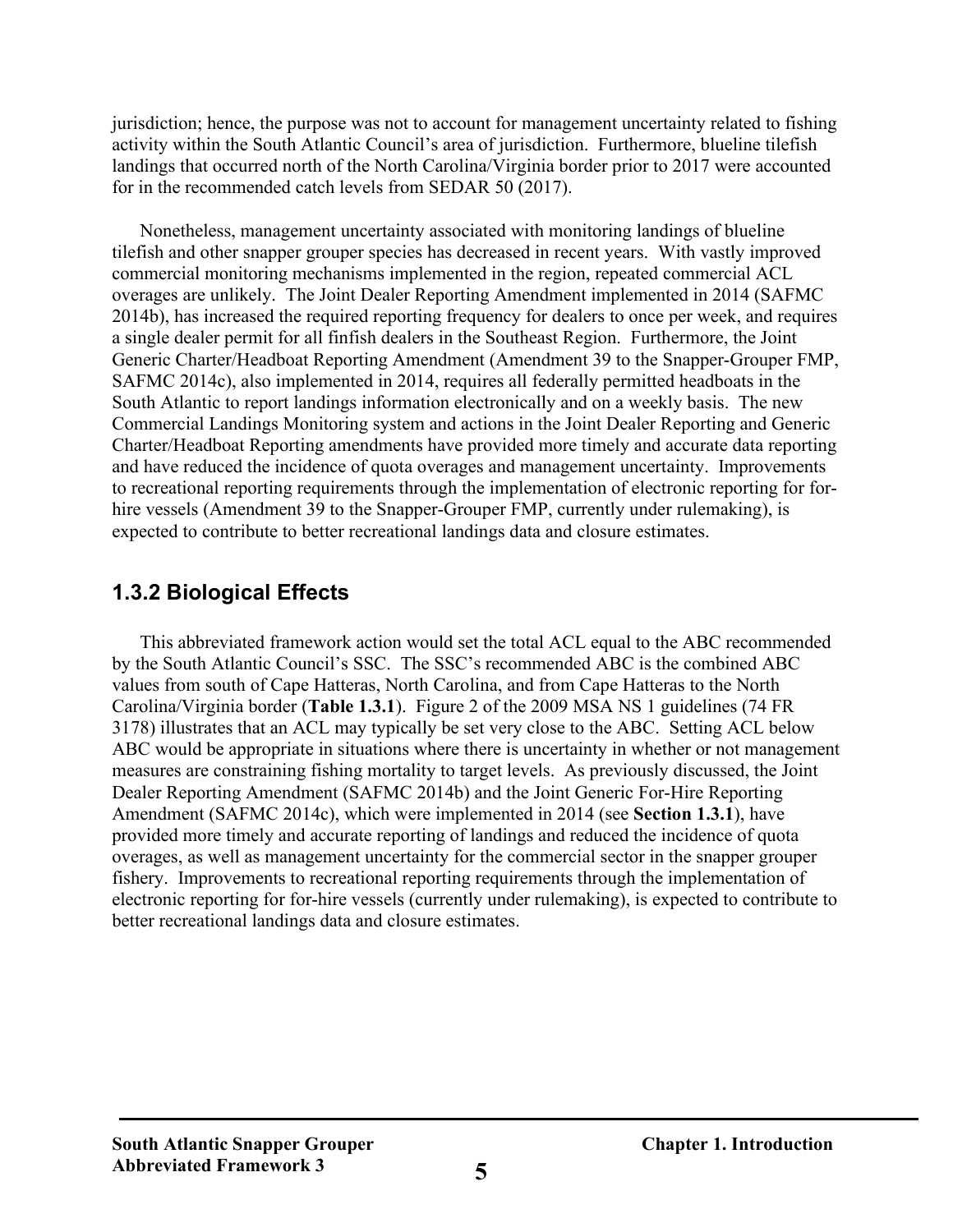jurisdiction; hence, the purpose was not to account for management uncertainty related to fishing activity within the South Atlantic Council's area of jurisdiction. Furthermore, blueline tilefish landings that occurred north of the North Carolina/Virginia border prior to 2017 were accounted for in the recommended catch levels from SEDAR 50 (2017).

Nonetheless, management uncertainty associated with monitoring landings of blueline tilefish and other snapper grouper species has decreased in recent years. With vastly improved commercial monitoring mechanisms implemented in the region, repeated commercial ACL overages are unlikely. The Joint Dealer Reporting Amendment implemented in 2014 (SAFMC 2014b), has increased the required reporting frequency for dealers to once per week, and requires a single dealer permit for all finfish dealers in the Southeast Region. Furthermore, the Joint Generic Charter/Headboat Reporting Amendment (Amendment 39 to the Snapper-Grouper FMP, SAFMC 2014c), also implemented in 2014, requires all federally permitted headboats in the South Atlantic to report landings information electronically and on a weekly basis. The new Commercial Landings Monitoring system and actions in the Joint Dealer Reporting and Generic Charter/Headboat Reporting amendments have provided more timely and accurate data reporting and have reduced the incidence of quota overages and management uncertainty. Improvements to recreational reporting requirements through the implementation of electronic reporting for forhire vessels (Amendment 39 to the Snapper-Grouper FMP, currently under rulemaking), is expected to contribute to better recreational landings data and closure estimates.

#### <span id="page-9-0"></span>**1.3.2 Biological Effects**

This abbreviated framework action would set the total ACL equal to the ABC recommended by the South Atlantic Council's SSC. The SSC's recommended ABC is the combined ABC values from south of Cape Hatteras, North Carolina, and from Cape Hatteras to the North Carolina/Virginia border (**Table 1.3.1**). Figure 2 of the 2009 MSA NS 1 guidelines (74 FR 3178) illustrates that an ACL may typically be set very close to the ABC. Setting ACL below ABC would be appropriate in situations where there is uncertainty in whether or not management measures are constraining fishing mortality to target levels. As previously discussed, the Joint Dealer Reporting Amendment (SAFMC 2014b) and the Joint Generic For-Hire Reporting Amendment (SAFMC 2014c), which were implemented in 2014 (see **Section 1.3.1**), have provided more timely and accurate reporting of landings and reduced the incidence of quota overages, as well as management uncertainty for the commercial sector in the snapper grouper fishery. Improvements to recreational reporting requirements through the implementation of electronic reporting for for-hire vessels (currently under rulemaking), is expected to contribute to better recreational landings data and closure estimates.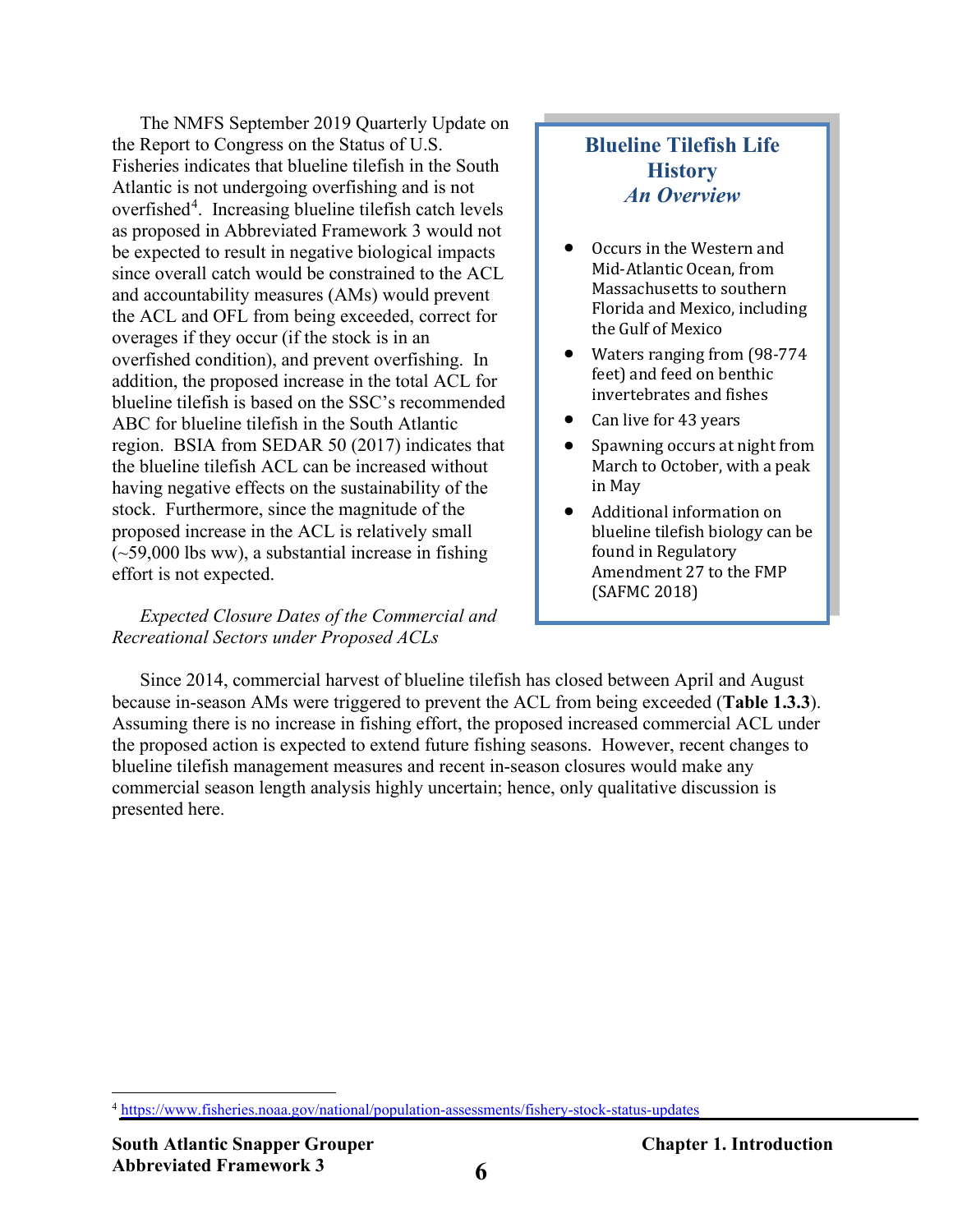The NMFS September 2019 Quarterly Update on the Report to Congress on the Status of U.S. Fisheries indicates that blueline tilefish in the South Atlantic is not undergoing overfishing and is not overfished<sup>[4](#page-10-0)</sup>. Increasing blueline tilefish catch levels as proposed in Abbreviated Framework 3 would not be expected to result in negative biological impacts since overall catch would be constrained to the ACL and accountability measures (AMs) would prevent the ACL and OFL from being exceeded, correct for overages if they occur (if the stock is in an overfished condition), and prevent overfishing. In addition, the proposed increase in the total ACL for blueline tilefish is based on the SSC's recommended ABC for blueline tilefish in the South Atlantic region. BSIA from SEDAR 50 (2017) indicates that the blueline tilefish ACL can be increased without having negative effects on the sustainability of the stock. Furthermore, since the magnitude of the proposed increase in the ACL is relatively small  $(-59,000$  lbs ww), a substantial increase in fishing effort is not expected.

#### *Expected Closure Dates of the Commercial and Recreational Sectors under Proposed ACLs*

#### **Blueline Tilefish Life History** *An Overview*

- Occurs in the Western and Mid-Atlantic Ocean, from Massachusetts to southern Florida and Mexico, including the Gulf of Mexico
- Waters ranging from (98-774 feet) and feed on benthic invertebrates and fishes
- Can live for 43 years
- Spawning occurs at night from March to October, with a peak in May
- Additional information on blueline tilefish biology can be found in Regulatory Amendment 27 to the FMP (SAFMC 2018)

Since 2014, commercial harvest of blueline tilefish has closed between April and August because in-season AMs were triggered to prevent the ACL from being exceeded (**Table 1.3.3**). Assuming there is no increase in fishing effort, the proposed increased commercial ACL under the proposed action is expected to extend future fishing seasons. However, recent changes to blueline tilefish management measures and recent in-season closures would make any commercial season length analysis highly uncertain; hence, only qualitative discussion is presented here.

<span id="page-10-0"></span><sup>4</sup> <https://www.fisheries.noaa.gov/national/population-assessments/fishery-stock-status-updates>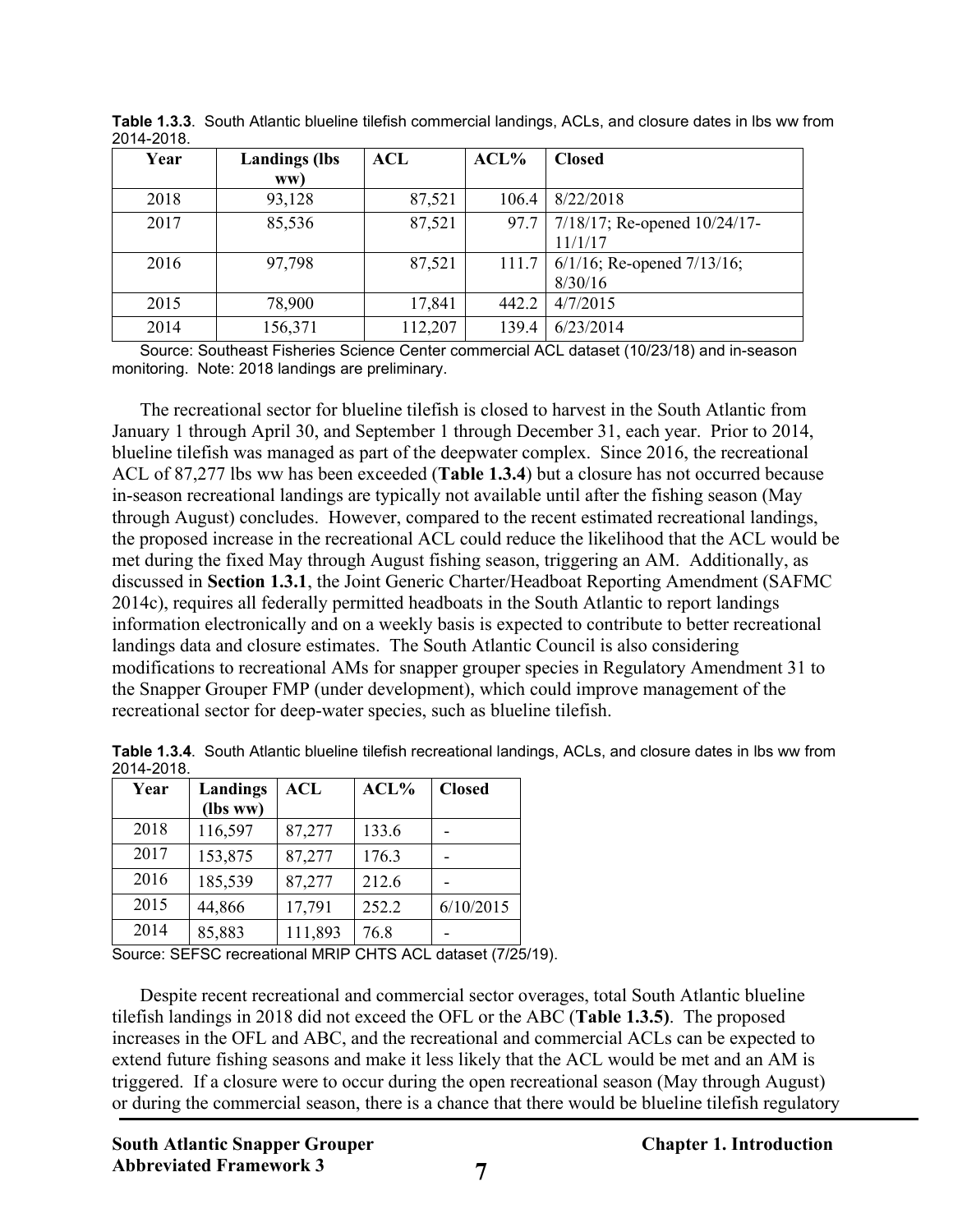| Year | <b>Landings</b> (lbs | ACL     | ACL%  | <b>Closed</b>                       |
|------|----------------------|---------|-------|-------------------------------------|
|      | ww)                  |         |       |                                     |
| 2018 | 93,128               | 87,521  | 106.4 | 8/22/2018                           |
| 2017 | 85,536               | 87,521  |       | 97.7   7/18/17; Re-opened 10/24/17- |
|      |                      |         |       | 11/1/17                             |
| 2016 | 97,798               | 87,521  | 111.7 | $6/1/16$ ; Re-opened $7/13/16$ ;    |
|      |                      |         |       | 8/30/16                             |
| 2015 | 78,900               | 17,841  | 442.2 | 4/7/2015                            |
| 2014 | 156,371              | 112,207 | 139.4 | 6/23/2014                           |

<span id="page-11-0"></span>**Table 1.3.3**. South Atlantic blueline tilefish commercial landings, ACLs, and closure dates in lbs ww from 2014-2018.

Source: Southeast Fisheries Science Center commercial ACL dataset (10/23/18) and in-season monitoring. Note: 2018 landings are preliminary.

The recreational sector for blueline tilefish is closed to harvest in the South Atlantic from January 1 through April 30, and September 1 through December 31, each year. Prior to 2014, blueline tilefish was managed as part of the deepwater complex. Since 2016, the recreational ACL of 87,277 lbs ww has been exceeded (**Table 1.3.4**) but a closure has not occurred because in-season recreational landings are typically not available until after the fishing season (May through August) concludes. However, compared to the recent estimated recreational landings, the proposed increase in the recreational ACL could reduce the likelihood that the ACL would be met during the fixed May through August fishing season, triggering an AM. Additionally, as discussed in **Section 1.3.1**, the Joint Generic Charter/Headboat Reporting Amendment (SAFMC 2014c), requires all federally permitted headboats in the South Atlantic to report landings information electronically and on a weekly basis is expected to contribute to better recreational landings data and closure estimates. The South Atlantic Council is also considering modifications to recreational AMs for snapper grouper species in Regulatory Amendment 31 to the Snapper Grouper FMP (under development), which could improve management of the recreational sector for deep-water species, such as blueline tilefish.

<span id="page-11-1"></span>**Table 1.3.4**. South Atlantic blueline tilefish recreational landings, ACLs, and closure dates in lbs ww from 2014-2018.

| Year | Landings<br>(lbs ww) | ACL     | ACL%  | <b>Closed</b> |
|------|----------------------|---------|-------|---------------|
| 2018 | 116,597              | 87,277  | 133.6 |               |
| 2017 | 153,875              | 87,277  | 176.3 |               |
| 2016 | 185,539              | 87,277  | 212.6 |               |
| 2015 | 44,866               | 17,791  | 252.2 | 6/10/2015     |
| 2014 | 85,883               | 111,893 | 76.8  |               |

Source: SEFSC recreational MRIP CHTS ACL dataset (7/25/19).

Despite recent recreational and commercial sector overages, total South Atlantic blueline tilefish landings in 2018 did not exceed the OFL or the ABC (**Table 1.3.5)**. The proposed increases in the OFL and ABC, and the recreational and commercial ACLs can be expected to extend future fishing seasons and make it less likely that the ACL would be met and an AM is triggered. If a closure were to occur during the open recreational season (May through August) or during the commercial season, there is a chance that there would be blueline tilefish regulatory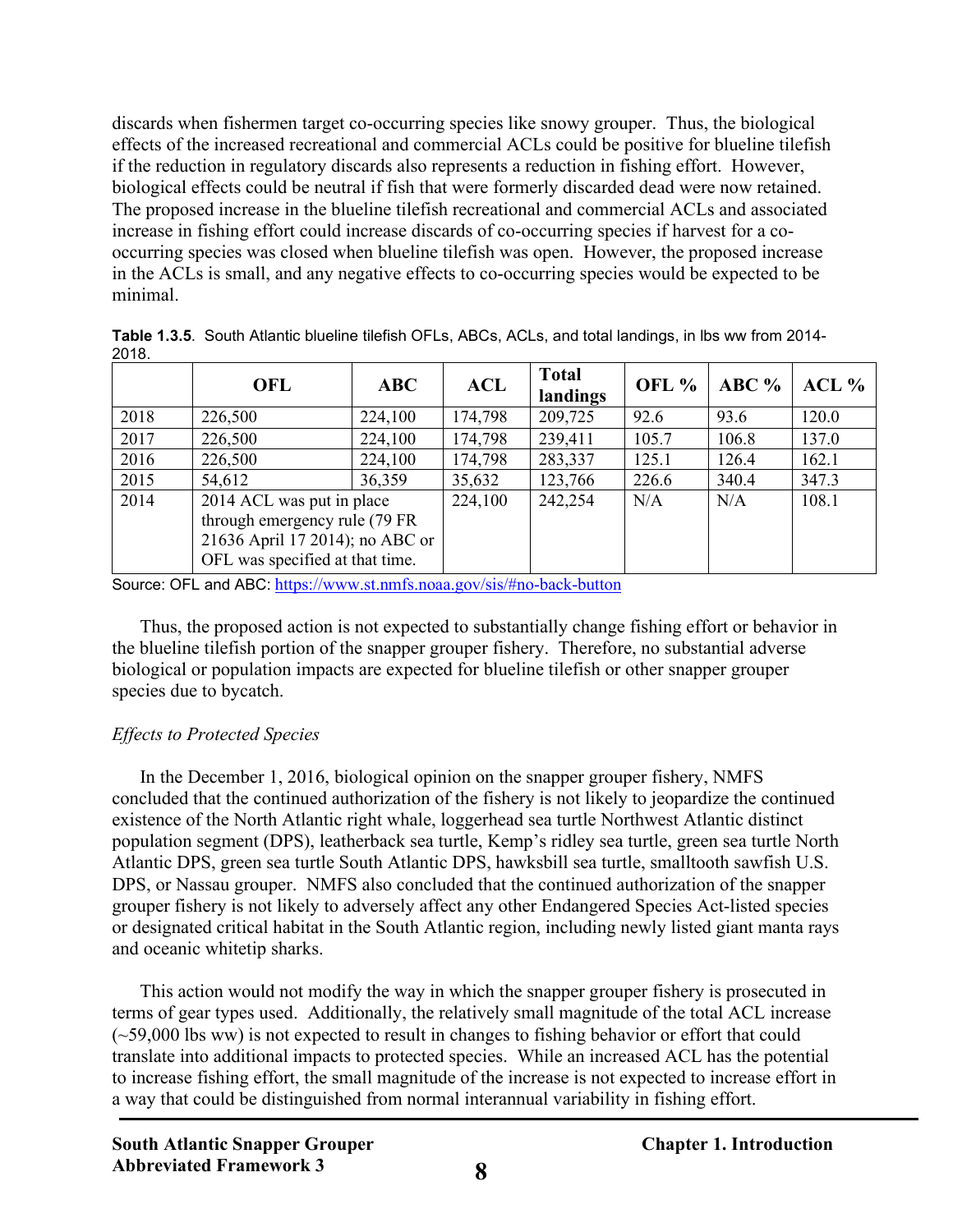discards when fishermen target co-occurring species like snowy grouper. Thus, the biological effects of the increased recreational and commercial ACLs could be positive for blueline tilefish if the reduction in regulatory discards also represents a reduction in fishing effort. However, biological effects could be neutral if fish that were formerly discarded dead were now retained. The proposed increase in the blueline tilefish recreational and commercial ACLs and associated increase in fishing effort could increase discards of co-occurring species if harvest for a cooccurring species was closed when blueline tilefish was open. However, the proposed increase in the ACLs is small, and any negative effects to co-occurring species would be expected to be minimal.

| <b>49.</b> |                                                                                                                                  |         |            |                          |       |         |         |
|------------|----------------------------------------------------------------------------------------------------------------------------------|---------|------------|--------------------------|-------|---------|---------|
|            | <b>OFL</b>                                                                                                                       | ABC     | <b>ACL</b> | <b>Total</b><br>landings | OFL % | $ABC$ % | $ACL\%$ |
| 2018       | 226,500                                                                                                                          | 224,100 | 174,798    | 209,725                  | 92.6  | 93.6    | 120.0   |
| 2017       | 226,500                                                                                                                          | 224,100 | 174,798    | 239,411                  | 105.7 | 106.8   | 137.0   |
| 2016       | 226,500                                                                                                                          | 224,100 | 174,798    | 283,337                  | 125.1 | 126.4   | 162.1   |
| 2015       | 54,612                                                                                                                           | 36,359  | 35,632     | 123,766                  | 226.6 | 340.4   | 347.3   |
| 2014       | 2014 ACL was put in place<br>through emergency rule (79 FR<br>21636 April 17 2014); no ABC or<br>OFL was specified at that time. |         | 224,100    | 242,254                  | N/A   | N/A     | 108.1   |

<span id="page-12-0"></span>**Table 1.3.5**. South Atlantic blueline tilefish OFLs, ABCs, ACLs, and total landings, in lbs ww from 2014- 2019

Source: OFL and ABC: <https://www.st.nmfs.noaa.gov/sis/#no-back-button>

Thus, the proposed action is not expected to substantially change fishing effort or behavior in the blueline tilefish portion of the snapper grouper fishery. Therefore, no substantial adverse biological or population impacts are expected for blueline tilefish or other snapper grouper species due to bycatch.

#### *Effects to Protected Species*

In the December 1, 2016, biological opinion on the snapper grouper fishery, NMFS concluded that the continued authorization of the fishery is not likely to jeopardize the continued existence of the North Atlantic right whale, loggerhead sea turtle Northwest Atlantic distinct population segment (DPS), leatherback sea turtle, Kemp's ridley sea turtle, green sea turtle North Atlantic DPS, green sea turtle South Atlantic DPS, hawksbill sea turtle, smalltooth sawfish U.S. DPS, or Nassau grouper. NMFS also concluded that the continued authorization of the snapper grouper fishery is not likely to adversely affect any other Endangered Species Act-listed species or designated critical habitat in the South Atlantic region, including newly listed giant manta rays and oceanic whitetip sharks.

This action would not modify the way in which the snapper grouper fishery is prosecuted in terms of gear types used. Additionally, the relatively small magnitude of the total ACL increase  $(-59,000$  lbs ww) is not expected to result in changes to fishing behavior or effort that could translate into additional impacts to protected species. While an increased ACL has the potential to increase fishing effort, the small magnitude of the increase is not expected to increase effort in a way that could be distinguished from normal interannual variability in fishing effort.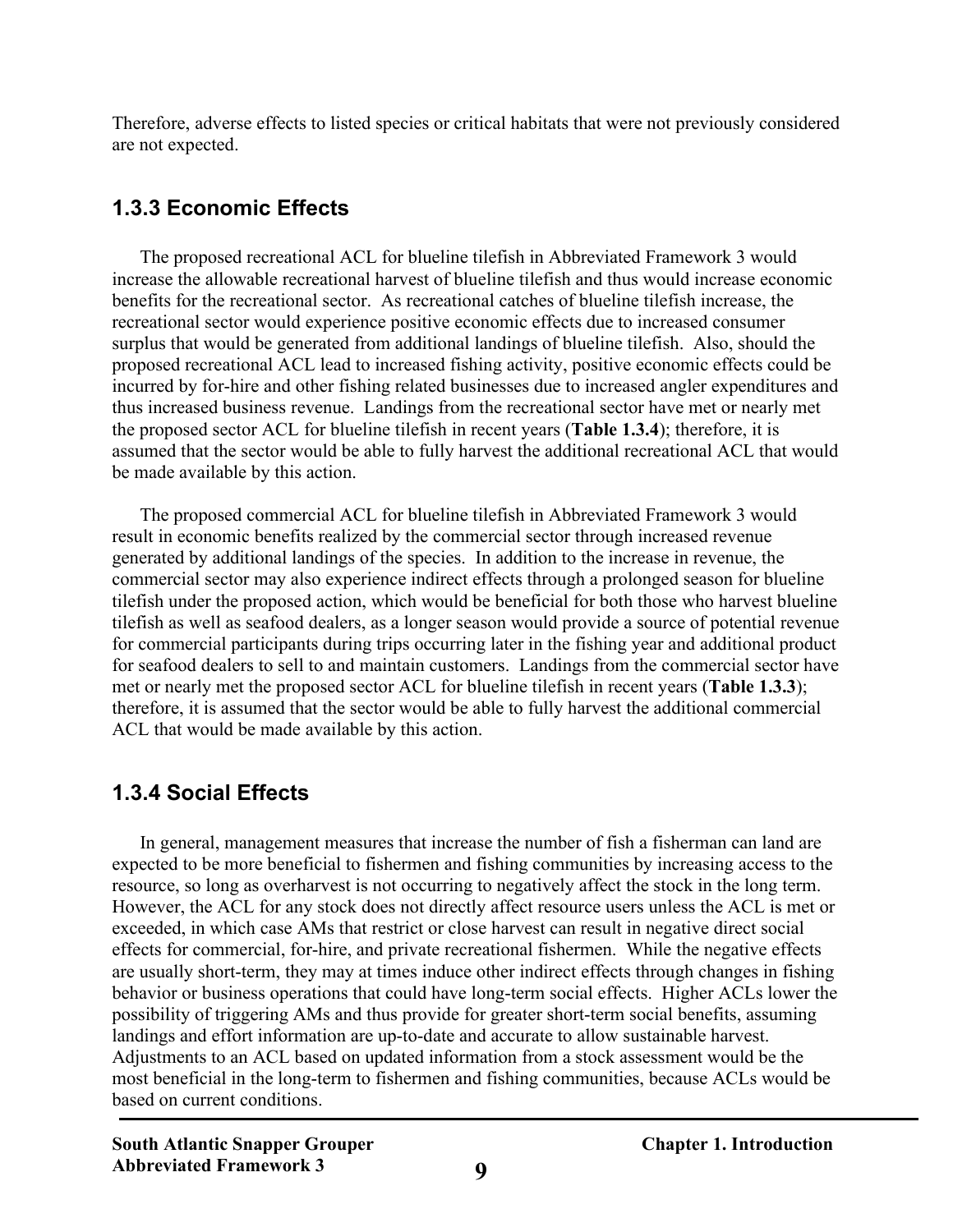Therefore, adverse effects to listed species or critical habitats that were not previously considered are not expected.

#### <span id="page-13-0"></span>**1.3.3 Economic Effects**

The proposed recreational ACL for blueline tilefish in Abbreviated Framework 3 would increase the allowable recreational harvest of blueline tilefish and thus would increase economic benefits for the recreational sector. As recreational catches of blueline tilefish increase, the recreational sector would experience positive economic effects due to increased consumer surplus that would be generated from additional landings of blueline tilefish. Also, should the proposed recreational ACL lead to increased fishing activity, positive economic effects could be incurred by for-hire and other fishing related businesses due to increased angler expenditures and thus increased business revenue. Landings from the recreational sector have met or nearly met the proposed sector ACL for blueline tilefish in recent years (**Table 1.3.4**); therefore, it is assumed that the sector would be able to fully harvest the additional recreational ACL that would be made available by this action.

The proposed commercial ACL for blueline tilefish in Abbreviated Framework 3 would result in economic benefits realized by the commercial sector through increased revenue generated by additional landings of the species. In addition to the increase in revenue, the commercial sector may also experience indirect effects through a prolonged season for blueline tilefish under the proposed action, which would be beneficial for both those who harvest blueline tilefish as well as seafood dealers, as a longer season would provide a source of potential revenue for commercial participants during trips occurring later in the fishing year and additional product for seafood dealers to sell to and maintain customers. Landings from the commercial sector have met or nearly met the proposed sector ACL for blueline tilefish in recent years (**Table 1.3.3**); therefore, it is assumed that the sector would be able to fully harvest the additional commercial ACL that would be made available by this action.

#### <span id="page-13-1"></span>**1.3.4 Social Effects**

In general, management measures that increase the number of fish a fisherman can land are expected to be more beneficial to fishermen and fishing communities by increasing access to the resource, so long as overharvest is not occurring to negatively affect the stock in the long term. However, the ACL for any stock does not directly affect resource users unless the ACL is met or exceeded, in which case AMs that restrict or close harvest can result in negative direct social effects for commercial, for-hire, and private recreational fishermen. While the negative effects are usually short-term, they may at times induce other indirect effects through changes in fishing behavior or business operations that could have long-term social effects. Higher ACLs lower the possibility of triggering AMs and thus provide for greater short-term social benefits, assuming landings and effort information are up-to-date and accurate to allow sustainable harvest. Adjustments to an ACL based on updated information from a stock assessment would be the most beneficial in the long-term to fishermen and fishing communities, because ACLs would be based on current conditions.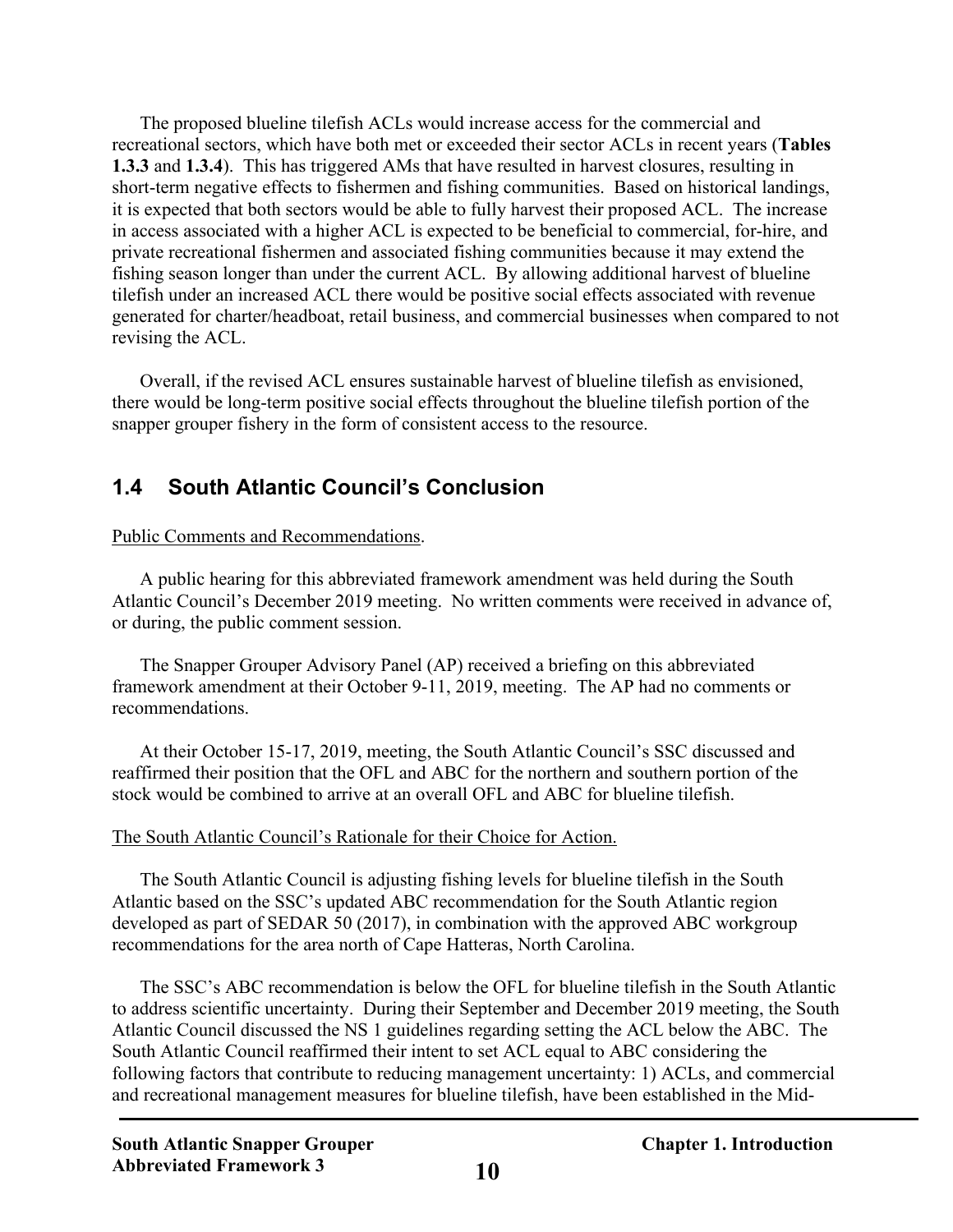The proposed blueline tilefish ACLs would increase access for the commercial and recreational sectors, which have both met or exceeded their sector ACLs in recent years (**Tables 1.3.3** and **1.3.4**). This has triggered AMs that have resulted in harvest closures, resulting in short-term negative effects to fishermen and fishing communities. Based on historical landings, it is expected that both sectors would be able to fully harvest their proposed ACL. The increase in access associated with a higher ACL is expected to be beneficial to commercial, for-hire, and private recreational fishermen and associated fishing communities because it may extend the fishing season longer than under the current ACL. By allowing additional harvest of blueline tilefish under an increased ACL there would be positive social effects associated with revenue generated for charter/headboat, retail business, and commercial businesses when compared to not revising the ACL.

Overall, if the revised ACL ensures sustainable harvest of blueline tilefish as envisioned, there would be long-term positive social effects throughout the blueline tilefish portion of the snapper grouper fishery in the form of consistent access to the resource.

### <span id="page-14-0"></span>**1.4 South Atlantic Council's Conclusion**

#### Public Comments and Recommendations.

A public hearing for this abbreviated framework amendment was held during the South Atlantic Council's December 2019 meeting. No written comments were received in advance of, or during, the public comment session.

The Snapper Grouper Advisory Panel (AP) received a briefing on this abbreviated framework amendment at their October 9-11, 2019, meeting. The AP had no comments or recommendations.

At their October 15-17, 2019, meeting, the South Atlantic Council's SSC discussed and reaffirmed their position that the OFL and ABC for the northern and southern portion of the stock would be combined to arrive at an overall OFL and ABC for blueline tilefish.

#### The South Atlantic Council's Rationale for their Choice for Action.

The South Atlantic Council is adjusting fishing levels for blueline tilefish in the South Atlantic based on the SSC's updated ABC recommendation for the South Atlantic region developed as part of SEDAR 50 (2017), in combination with the approved ABC workgroup recommendations for the area north of Cape Hatteras, North Carolina.

The SSC's ABC recommendation is below the OFL for blueline tilefish in the South Atlantic to address scientific uncertainty. During their September and December 2019 meeting, the South Atlantic Council discussed the NS 1 guidelines regarding setting the ACL below the ABC. The South Atlantic Council reaffirmed their intent to set ACL equal to ABC considering the following factors that contribute to reducing management uncertainty: 1) ACLs, and commercial and recreational management measures for blueline tilefish, have been established in the Mid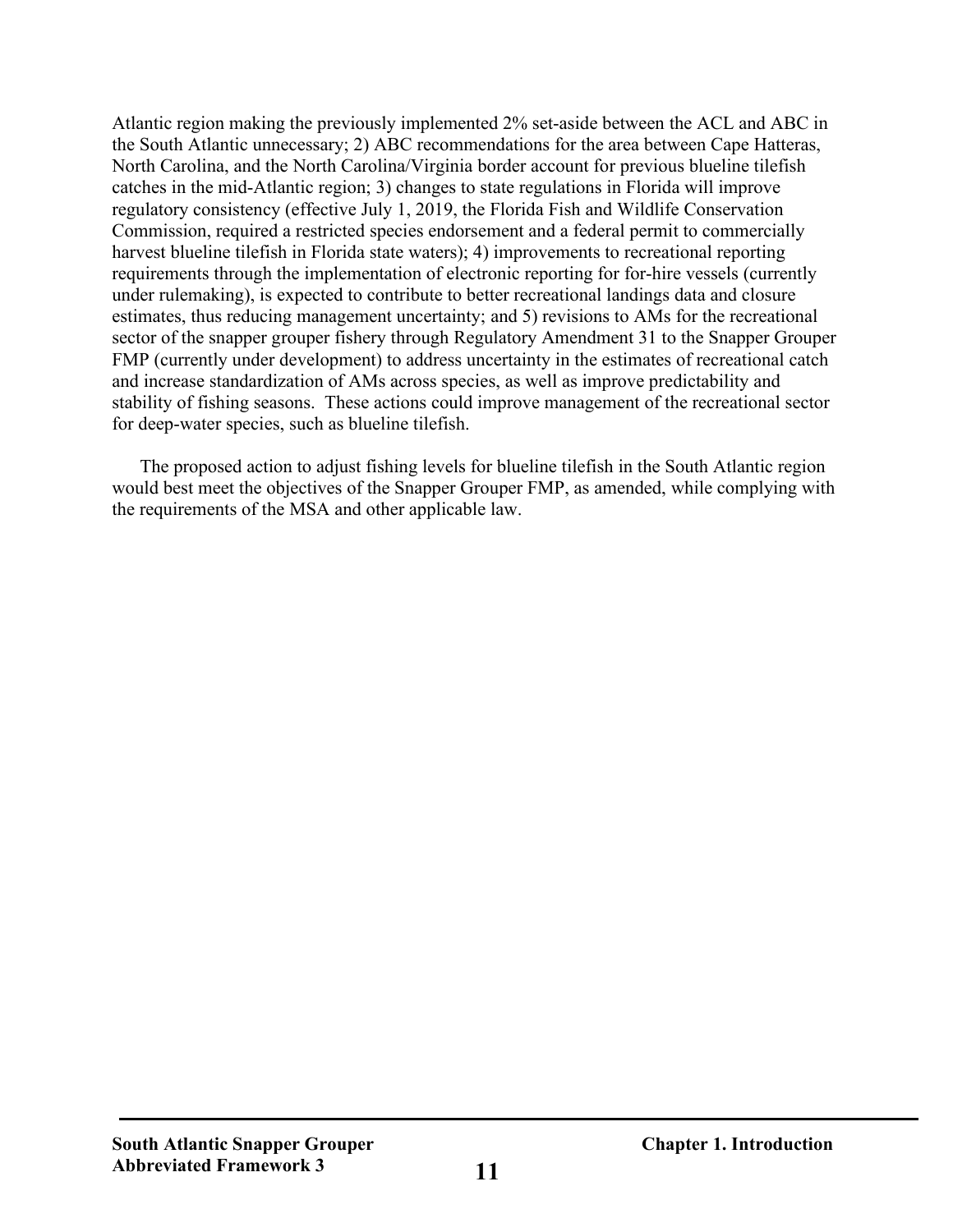Atlantic region making the previously implemented 2% set-aside between the ACL and ABC in the South Atlantic unnecessary; 2) ABC recommendations for the area between Cape Hatteras, North Carolina, and the North Carolina/Virginia border account for previous blueline tilefish catches in the mid-Atlantic region; 3) changes to state regulations in Florida will improve regulatory consistency (effective July 1, 2019, the Florida Fish and Wildlife Conservation Commission, required a restricted species endorsement and a federal permit to commercially harvest blueline tilefish in Florida state waters); 4) improvements to recreational reporting requirements through the implementation of electronic reporting for for-hire vessels (currently under rulemaking), is expected to contribute to better recreational landings data and closure estimates, thus reducing management uncertainty; and 5) revisions to AMs for the recreational sector of the snapper grouper fishery through Regulatory Amendment 31 to the Snapper Grouper FMP (currently under development) to address uncertainty in the estimates of recreational catch and increase standardization of AMs across species, as well as improve predictability and stability of fishing seasons. These actions could improve management of the recreational sector for deep-water species, such as blueline tilefish.

The proposed action to adjust fishing levels for blueline tilefish in the South Atlantic region would best meet the objectives of the Snapper Grouper FMP, as amended, while complying with the requirements of the MSA and other applicable law.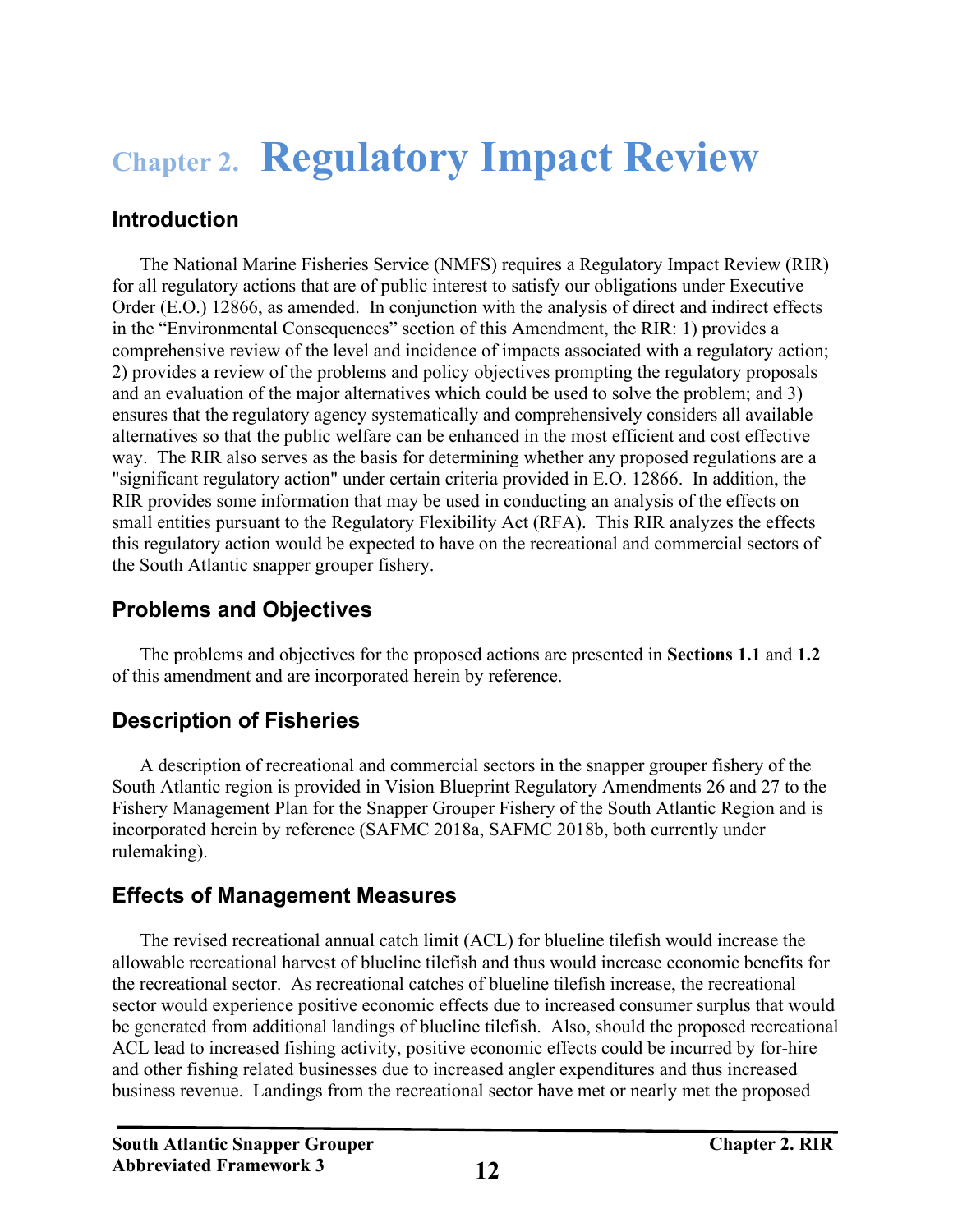# <span id="page-16-0"></span>**Chapter 2. Regulatory Impact Review**

#### **Introduction**

The National Marine Fisheries Service (NMFS) requires a Regulatory Impact Review (RIR) for all regulatory actions that are of public interest to satisfy our obligations under Executive Order (E.O.) 12866, as amended. In conjunction with the analysis of direct and indirect effects in the "Environmental Consequences" section of this Amendment, the RIR: 1) provides a comprehensive review of the level and incidence of impacts associated with a regulatory action; 2) provides a review of the problems and policy objectives prompting the regulatory proposals and an evaluation of the major alternatives which could be used to solve the problem; and 3) ensures that the regulatory agency systematically and comprehensively considers all available alternatives so that the public welfare can be enhanced in the most efficient and cost effective way. The RIR also serves as the basis for determining whether any proposed regulations are a "significant regulatory action" under certain criteria provided in E.O. 12866. In addition, the RIR provides some information that may be used in conducting an analysis of the effects on small entities pursuant to the Regulatory Flexibility Act (RFA). This RIR analyzes the effects this regulatory action would be expected to have on the recreational and commercial sectors of the South Atlantic snapper grouper fishery.

### **Problems and Objectives**

The problems and objectives for the proposed actions are presented in **Sections 1.1** and **1.2** of this amendment and are incorporated herein by reference.

### **Description of Fisheries**

A description of recreational and commercial sectors in the snapper grouper fishery of the South Atlantic region is provided in Vision Blueprint Regulatory Amendments 26 and 27 to the Fishery Management Plan for the Snapper Grouper Fishery of the South Atlantic Region and is incorporated herein by reference (SAFMC 2018a, SAFMC 2018b, both currently under rulemaking).

#### **Effects of Management Measures**

The revised recreational annual catch limit (ACL) for blueline tilefish would increase the allowable recreational harvest of blueline tilefish and thus would increase economic benefits for the recreational sector. As recreational catches of blueline tilefish increase, the recreational sector would experience positive economic effects due to increased consumer surplus that would be generated from additional landings of blueline tilefish. Also, should the proposed recreational ACL lead to increased fishing activity, positive economic effects could be incurred by for-hire and other fishing related businesses due to increased angler expenditures and thus increased business revenue. Landings from the recreational sector have met or nearly met the proposed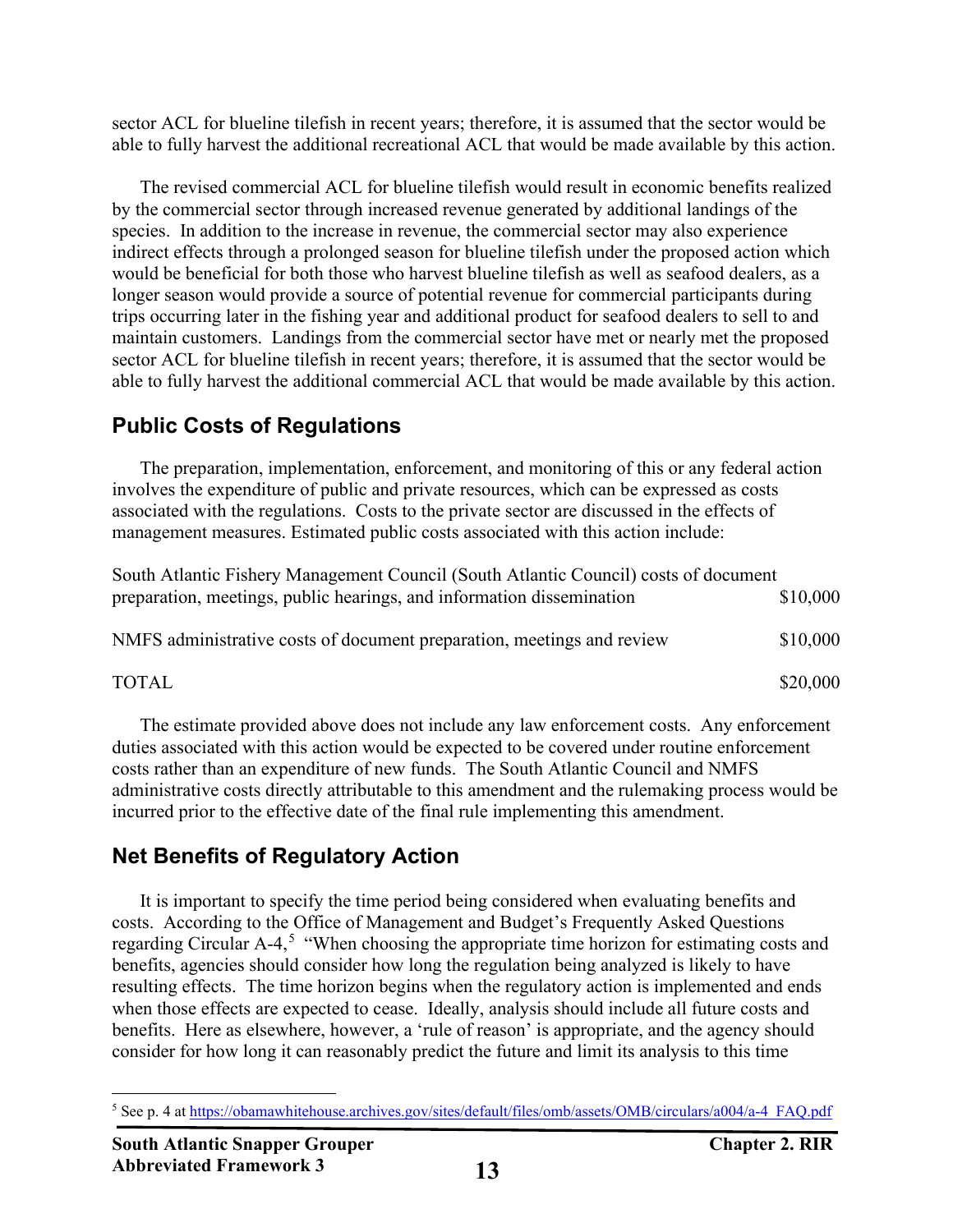sector ACL for blueline tilefish in recent years; therefore, it is assumed that the sector would be able to fully harvest the additional recreational ACL that would be made available by this action.

The revised commercial ACL for blueline tilefish would result in economic benefits realized by the commercial sector through increased revenue generated by additional landings of the species. In addition to the increase in revenue, the commercial sector may also experience indirect effects through a prolonged season for blueline tilefish under the proposed action which would be beneficial for both those who harvest blueline tilefish as well as seafood dealers, as a longer season would provide a source of potential revenue for commercial participants during trips occurring later in the fishing year and additional product for seafood dealers to sell to and maintain customers. Landings from the commercial sector have met or nearly met the proposed sector ACL for blueline tilefish in recent years; therefore, it is assumed that the sector would be able to fully harvest the additional commercial ACL that would be made available by this action.

### **Public Costs of Regulations**

The preparation, implementation, enforcement, and monitoring of this or any federal action involves the expenditure of public and private resources, which can be expressed as costs associated with the regulations. Costs to the private sector are discussed in the effects of management measures. Estimated public costs associated with this action include:

| South Atlantic Fishery Management Council (South Atlantic Council) costs of document |          |
|--------------------------------------------------------------------------------------|----------|
| preparation, meetings, public hearings, and information dissemination                | \$10,000 |
| NMFS administrative costs of document preparation, meetings and review               | \$10,000 |
| <b>TOTAL</b>                                                                         | \$20,000 |

The estimate provided above does not include any law enforcement costs. Any enforcement duties associated with this action would be expected to be covered under routine enforcement costs rather than an expenditure of new funds. The South Atlantic Council and NMFS administrative costs directly attributable to this amendment and the rulemaking process would be incurred prior to the effective date of the final rule implementing this amendment.

## **Net Benefits of Regulatory Action**

It is important to specify the time period being considered when evaluating benefits and costs. According to the Office of Management and Budget's Frequently Asked Questions regarding Circular A-4,<sup>[5](#page-17-0)</sup> "When choosing the appropriate time horizon for estimating costs and benefits, agencies should consider how long the regulation being analyzed is likely to have resulting effects. The time horizon begins when the regulatory action is implemented and ends when those effects are expected to cease. Ideally, analysis should include all future costs and benefits. Here as elsewhere, however, a 'rule of reason' is appropriate, and the agency should consider for how long it can reasonably predict the future and limit its analysis to this time

<span id="page-17-0"></span><sup>&</sup>lt;sup>5</sup> See p. 4 at [https://obamawhitehouse.archives.gov/sites/default/files/omb/assets/OMB/circulars/a004/a-4\\_FAQ.pdf](https://obamawhitehouse.archives.gov/sites/default/files/omb/assets/OMB/circulars/a004/a-4_FAQ.pdf)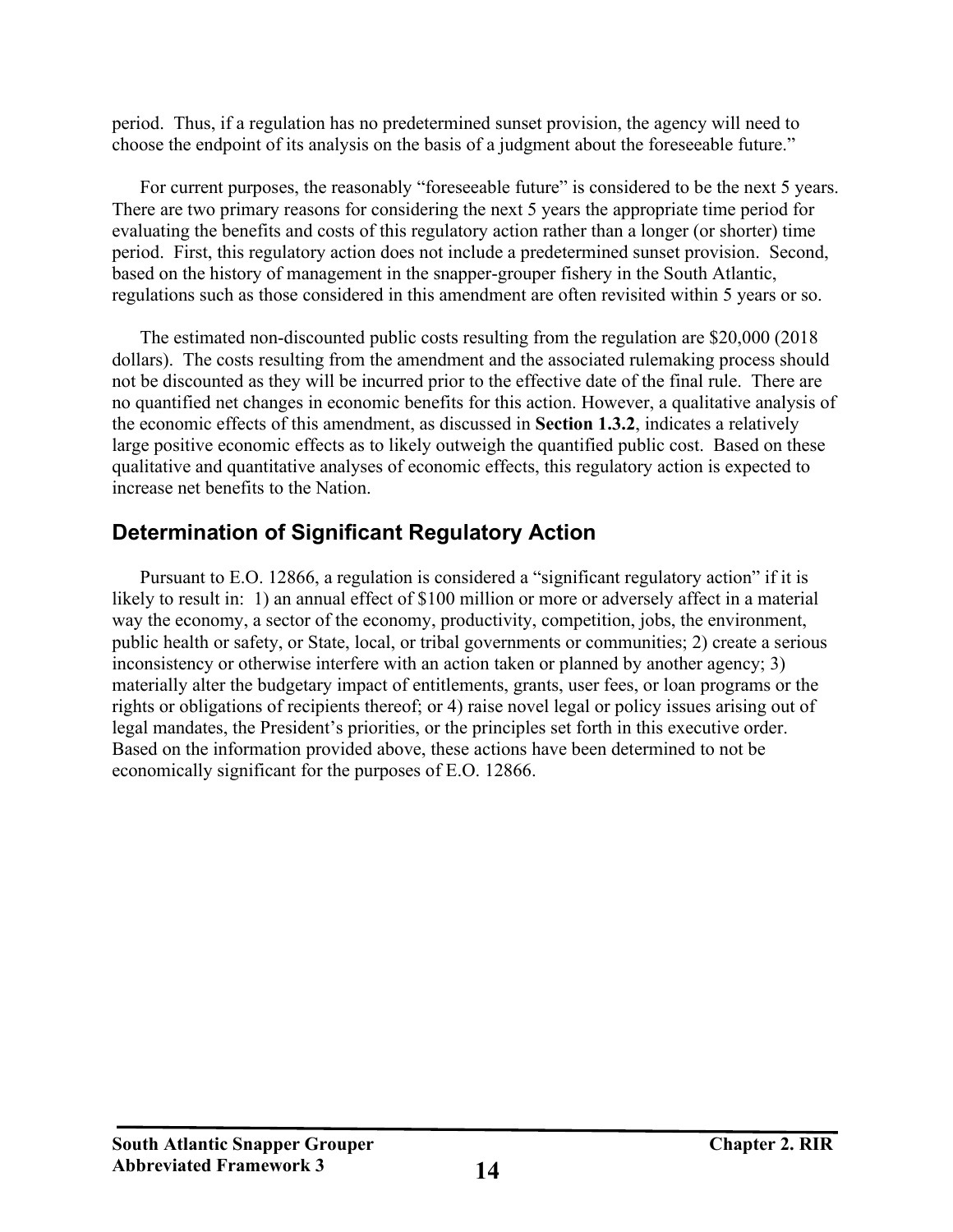period. Thus, if a regulation has no predetermined sunset provision, the agency will need to choose the endpoint of its analysis on the basis of a judgment about the foreseeable future."

For current purposes, the reasonably "foreseeable future" is considered to be the next 5 years. There are two primary reasons for considering the next 5 years the appropriate time period for evaluating the benefits and costs of this regulatory action rather than a longer (or shorter) time period. First, this regulatory action does not include a predetermined sunset provision. Second, based on the history of management in the snapper-grouper fishery in the South Atlantic, regulations such as those considered in this amendment are often revisited within 5 years or so.

The estimated non-discounted public costs resulting from the regulation are \$20,000 (2018 dollars). The costs resulting from the amendment and the associated rulemaking process should not be discounted as they will be incurred prior to the effective date of the final rule. There are no quantified net changes in economic benefits for this action. However, a qualitative analysis of the economic effects of this amendment, as discussed in **Section 1.3.2**, indicates a relatively large positive economic effects as to likely outweigh the quantified public cost. Based on these qualitative and quantitative analyses of economic effects, this regulatory action is expected to increase net benefits to the Nation.

## **Determination of Significant Regulatory Action**

Pursuant to E.O. 12866, a regulation is considered a "significant regulatory action" if it is likely to result in: 1) an annual effect of \$100 million or more or adversely affect in a material way the economy, a sector of the economy, productivity, competition, jobs, the environment, public health or safety, or State, local, or tribal governments or communities; 2) create a serious inconsistency or otherwise interfere with an action taken or planned by another agency; 3) materially alter the budgetary impact of entitlements, grants, user fees, or loan programs or the rights or obligations of recipients thereof; or 4) raise novel legal or policy issues arising out of legal mandates, the President's priorities, or the principles set forth in this executive order. Based on the information provided above, these actions have been determined to not be economically significant for the purposes of E.O. 12866.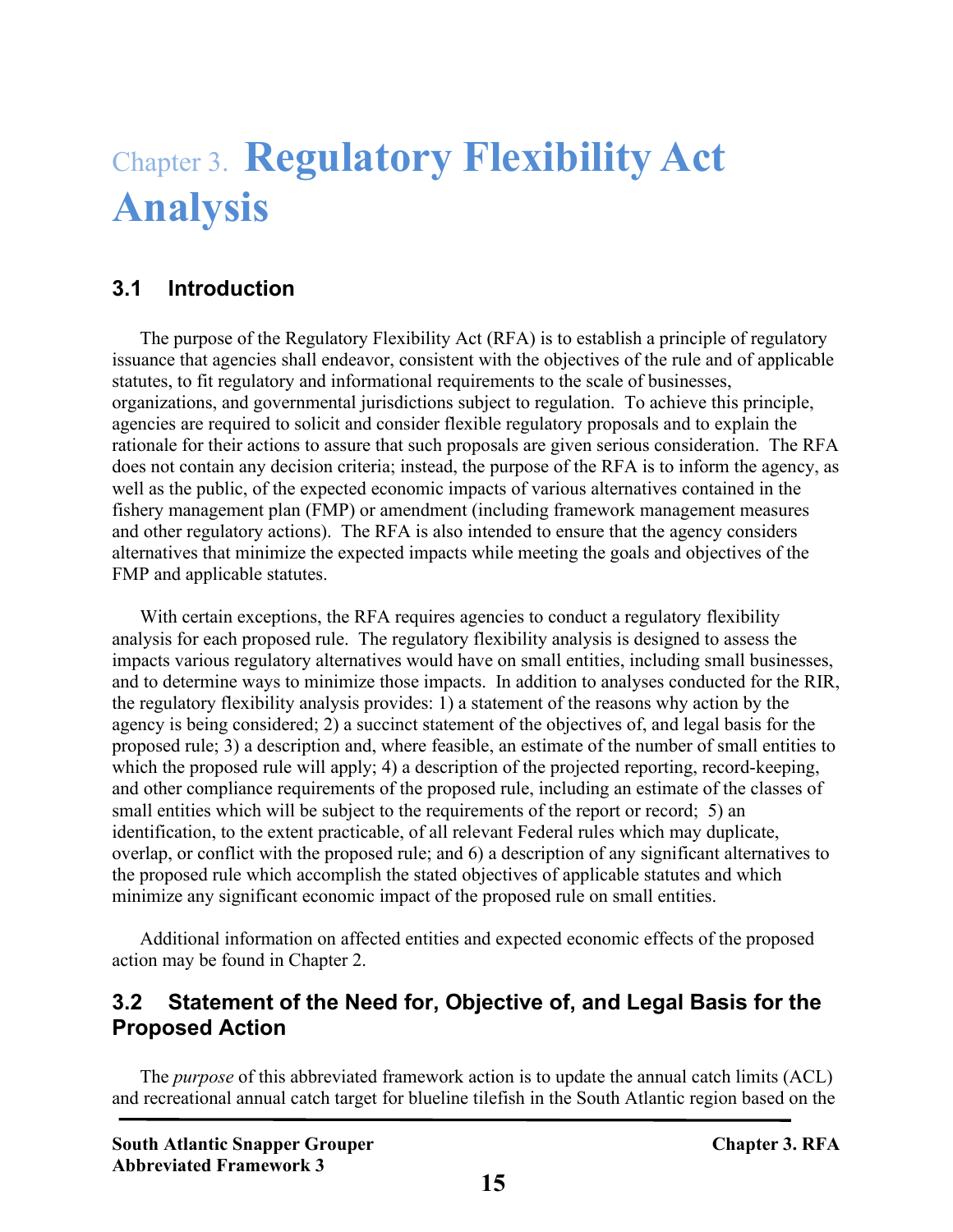# <span id="page-19-0"></span>Chapter 3. **Regulatory Flexibility Act Analysis**

### <span id="page-19-1"></span>**3.1 Introduction**

The purpose of the Regulatory Flexibility Act (RFA) is to establish a principle of regulatory issuance that agencies shall endeavor, consistent with the objectives of the rule and of applicable statutes, to fit regulatory and informational requirements to the scale of businesses, organizations, and governmental jurisdictions subject to regulation. To achieve this principle, agencies are required to solicit and consider flexible regulatory proposals and to explain the rationale for their actions to assure that such proposals are given serious consideration. The RFA does not contain any decision criteria; instead, the purpose of the RFA is to inform the agency, as well as the public, of the expected economic impacts of various alternatives contained in the fishery management plan (FMP) or amendment (including framework management measures and other regulatory actions). The RFA is also intended to ensure that the agency considers alternatives that minimize the expected impacts while meeting the goals and objectives of the FMP and applicable statutes.

With certain exceptions, the RFA requires agencies to conduct a regulatory flexibility analysis for each proposed rule. The regulatory flexibility analysis is designed to assess the impacts various regulatory alternatives would have on small entities, including small businesses, and to determine ways to minimize those impacts. In addition to analyses conducted for the RIR, the regulatory flexibility analysis provides: 1) a statement of the reasons why action by the agency is being considered; 2) a succinct statement of the objectives of, and legal basis for the proposed rule; 3) a description and, where feasible, an estimate of the number of small entities to which the proposed rule will apply; 4) a description of the projected reporting, record-keeping, and other compliance requirements of the proposed rule, including an estimate of the classes of small entities which will be subject to the requirements of the report or record; 5) an identification, to the extent practicable, of all relevant Federal rules which may duplicate, overlap, or conflict with the proposed rule; and 6) a description of any significant alternatives to the proposed rule which accomplish the stated objectives of applicable statutes and which minimize any significant economic impact of the proposed rule on small entities.

Additional information on affected entities and expected economic effects of the proposed action may be found in Chapter 2.

#### <span id="page-19-2"></span>**3.2 Statement of the Need for, Objective of, and Legal Basis for the Proposed Action**

The *purpose* of this abbreviated framework action is to update the annual catch limits (ACL) and recreational annual catch target for blueline tilefish in the South Atlantic region based on the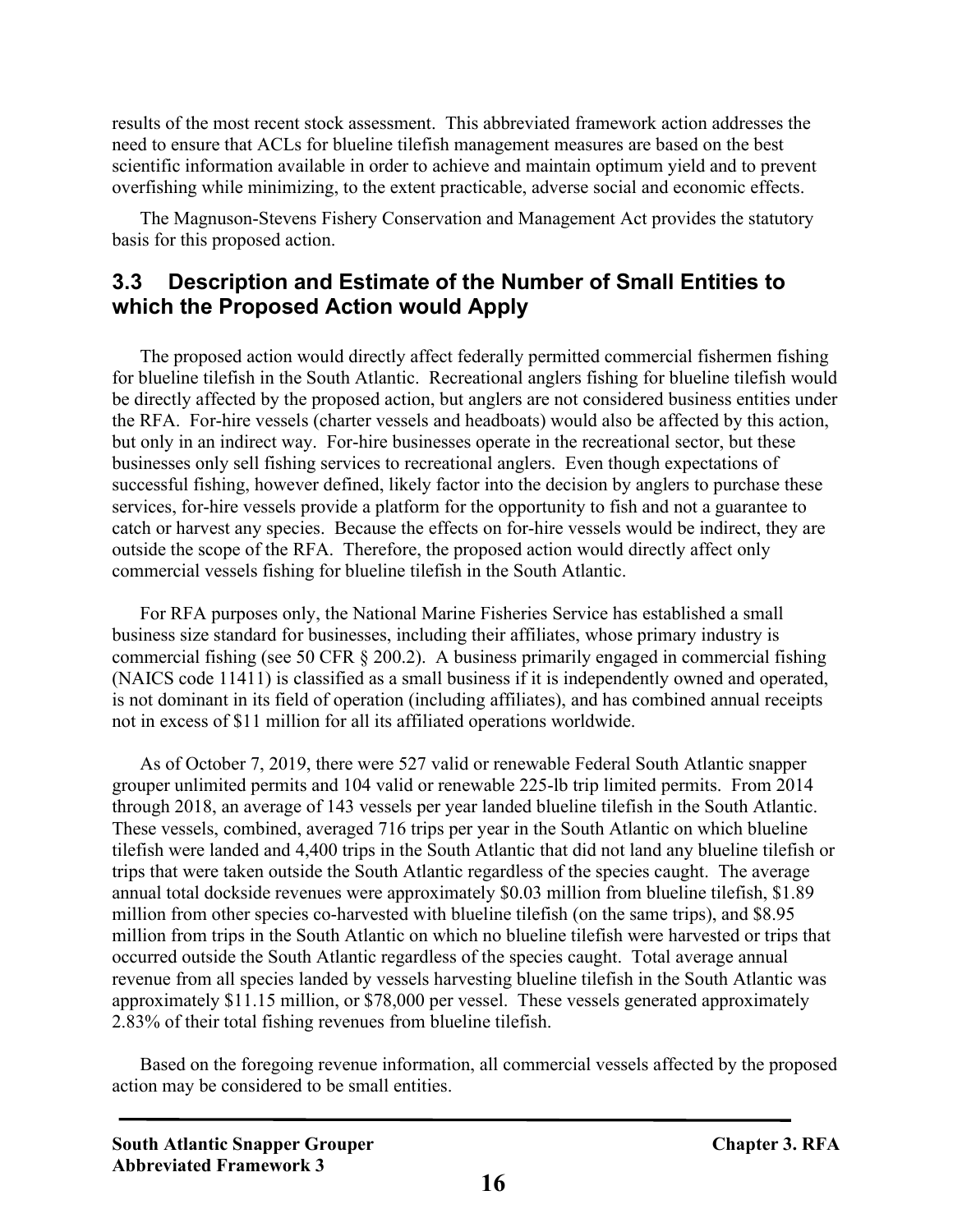results of the most recent stock assessment. This abbreviated framework action addresses the need to ensure that ACLs for blueline tilefish management measures are based on the best scientific information available in order to achieve and maintain optimum yield and to prevent overfishing while minimizing, to the extent practicable, adverse social and economic effects.

The Magnuson-Stevens Fishery Conservation and Management Act provides the statutory basis for this proposed action.

#### <span id="page-20-0"></span>**3.3 Description and Estimate of the Number of Small Entities to which the Proposed Action would Apply**

The proposed action would directly affect federally permitted commercial fishermen fishing for blueline tilefish in the South Atlantic. Recreational anglers fishing for blueline tilefish would be directly affected by the proposed action, but anglers are not considered business entities under the RFA. For-hire vessels (charter vessels and headboats) would also be affected by this action, but only in an indirect way. For-hire businesses operate in the recreational sector, but these businesses only sell fishing services to recreational anglers. Even though expectations of successful fishing, however defined, likely factor into the decision by anglers to purchase these services, for-hire vessels provide a platform for the opportunity to fish and not a guarantee to catch or harvest any species. Because the effects on for-hire vessels would be indirect, they are outside the scope of the RFA. Therefore, the proposed action would directly affect only commercial vessels fishing for blueline tilefish in the South Atlantic.

For RFA purposes only, the National Marine Fisheries Service has established a small business size standard for businesses, including their affiliates, whose primary industry is commercial fishing (see 50 CFR § 200.2). A business primarily engaged in commercial fishing (NAICS code 11411) is classified as a small business if it is independently owned and operated, is not dominant in its field of operation (including affiliates), and has combined annual receipts not in excess of \$11 million for all its affiliated operations worldwide.

As of October 7, 2019, there were 527 valid or renewable Federal South Atlantic snapper grouper unlimited permits and 104 valid or renewable 225-lb trip limited permits. From 2014 through 2018, an average of 143 vessels per year landed blueline tilefish in the South Atlantic. These vessels, combined, averaged 716 trips per year in the South Atlantic on which blueline tilefish were landed and 4,400 trips in the South Atlantic that did not land any blueline tilefish or trips that were taken outside the South Atlantic regardless of the species caught. The average annual total dockside revenues were approximately \$0.03 million from blueline tilefish, \$1.89 million from other species co-harvested with blueline tilefish (on the same trips), and \$8.95 million from trips in the South Atlantic on which no blueline tilefish were harvested or trips that occurred outside the South Atlantic regardless of the species caught. Total average annual revenue from all species landed by vessels harvesting blueline tilefish in the South Atlantic was approximately \$11.15 million, or \$78,000 per vessel. These vessels generated approximately 2.83% of their total fishing revenues from blueline tilefish.

Based on the foregoing revenue information, all commercial vessels affected by the proposed action may be considered to be small entities.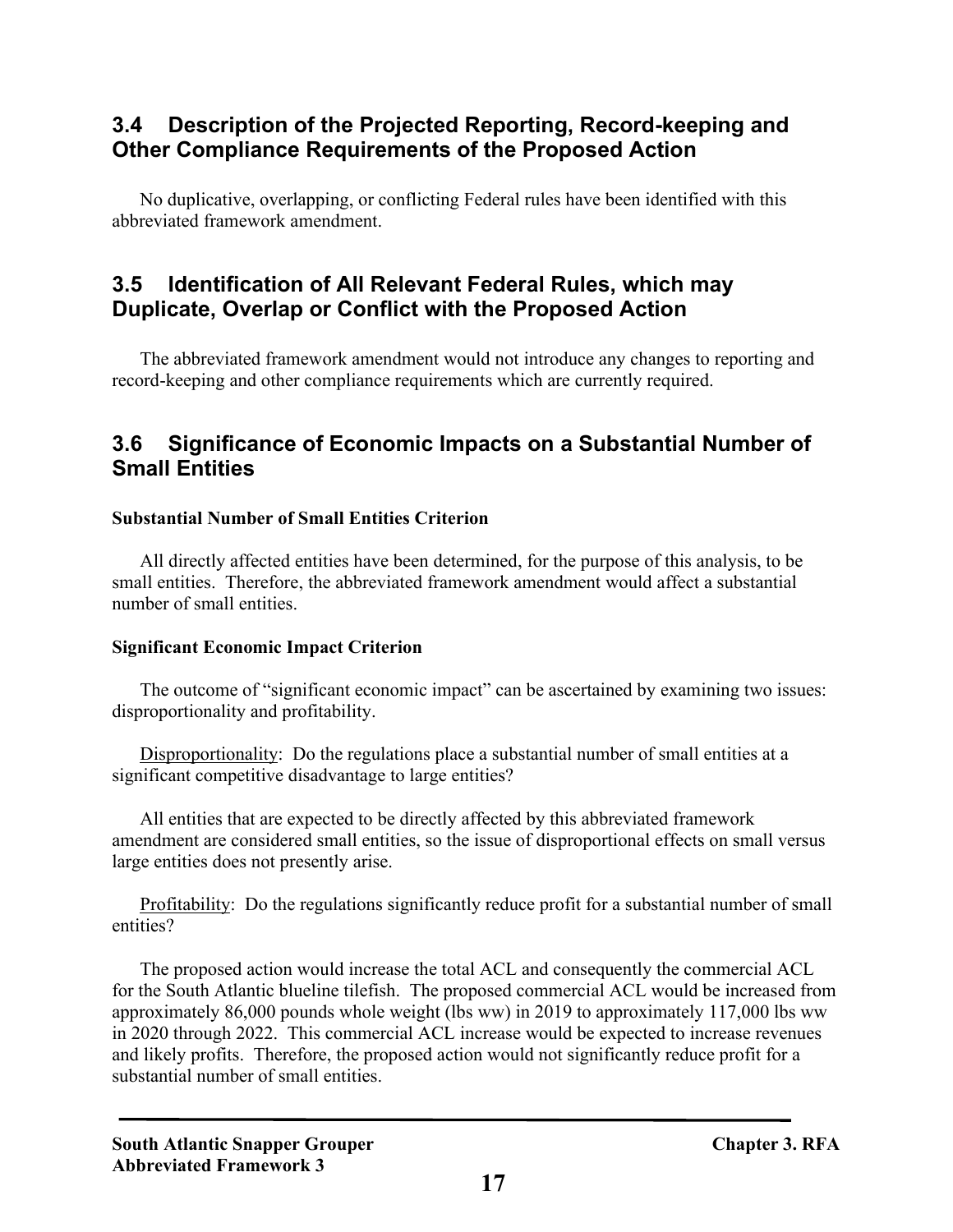#### <span id="page-21-0"></span>**3.4 Description of the Projected Reporting, Record-keeping and Other Compliance Requirements of the Proposed Action**

No duplicative, overlapping, or conflicting Federal rules have been identified with this abbreviated framework amendment.

#### <span id="page-21-1"></span>**3.5 Identification of All Relevant Federal Rules, which may Duplicate, Overlap or Conflict with the Proposed Action**

The abbreviated framework amendment would not introduce any changes to reporting and record-keeping and other compliance requirements which are currently required.

#### <span id="page-21-2"></span>**3.6 Significance of Economic Impacts on a Substantial Number of Small Entities**

#### **Substantial Number of Small Entities Criterion**

All directly affected entities have been determined, for the purpose of this analysis, to be small entities. Therefore, the abbreviated framework amendment would affect a substantial number of small entities.

#### **Significant Economic Impact Criterion**

The outcome of "significant economic impact" can be ascertained by examining two issues: disproportionality and profitability.

Disproportionality: Do the regulations place a substantial number of small entities at a significant competitive disadvantage to large entities?

All entities that are expected to be directly affected by this abbreviated framework amendment are considered small entities, so the issue of disproportional effects on small versus large entities does not presently arise.

Profitability: Do the regulations significantly reduce profit for a substantial number of small entities?

The proposed action would increase the total ACL and consequently the commercial ACL for the South Atlantic blueline tilefish. The proposed commercial ACL would be increased from approximately 86,000 pounds whole weight (lbs ww) in 2019 to approximately 117,000 lbs ww in 2020 through 2022. This commercial ACL increase would be expected to increase revenues and likely profits. Therefore, the proposed action would not significantly reduce profit for a substantial number of small entities.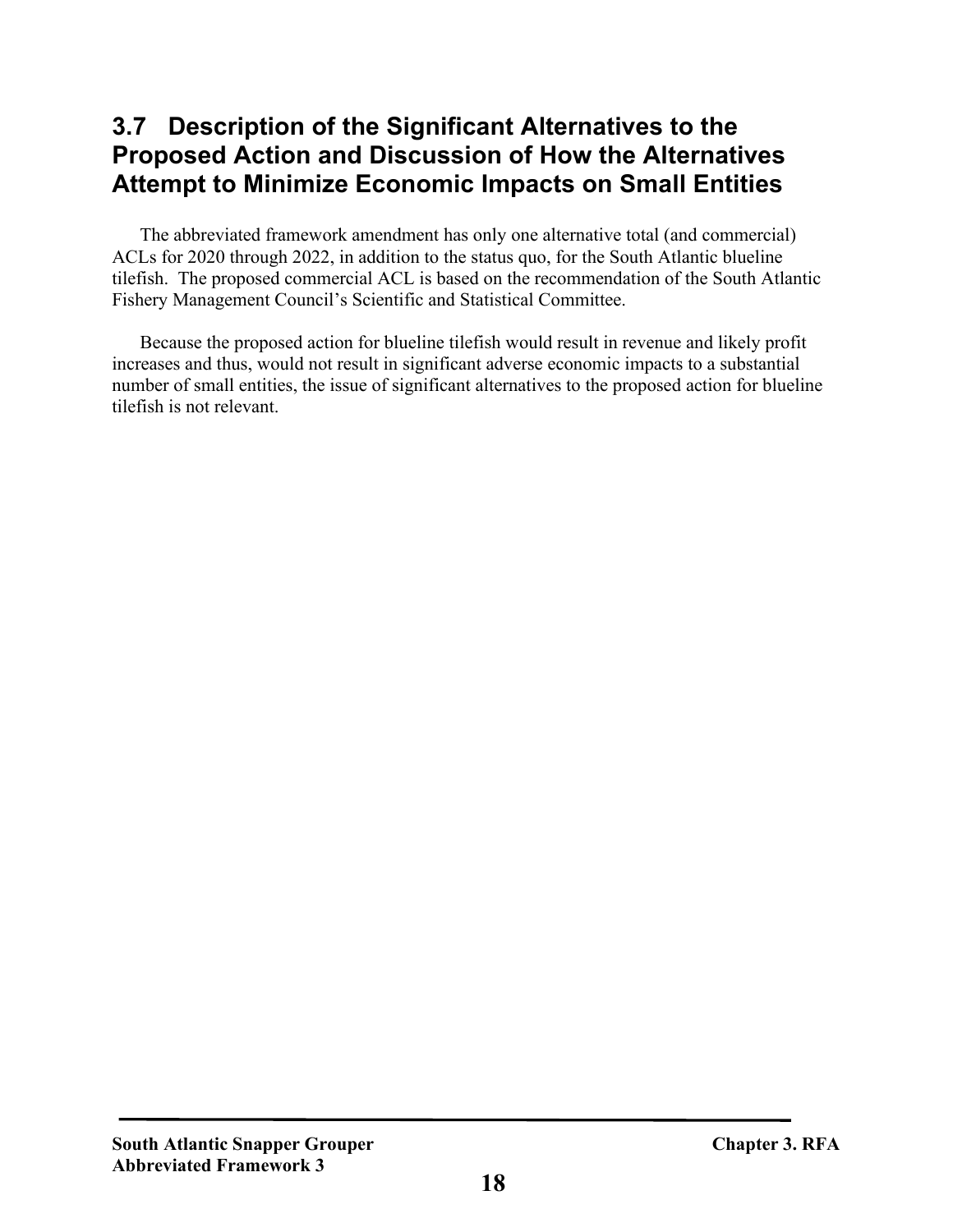## <span id="page-22-0"></span>**3.7 Description of the Significant Alternatives to the Proposed Action and Discussion of How the Alternatives Attempt to Minimize Economic Impacts on Small Entities**

The abbreviated framework amendment has only one alternative total (and commercial) ACLs for 2020 through 2022, in addition to the status quo, for the South Atlantic blueline tilefish. The proposed commercial ACL is based on the recommendation of the South Atlantic Fishery Management Council's Scientific and Statistical Committee.

Because the proposed action for blueline tilefish would result in revenue and likely profit increases and thus, would not result in significant adverse economic impacts to a substantial number of small entities, the issue of significant alternatives to the proposed action for blueline tilefish is not relevant.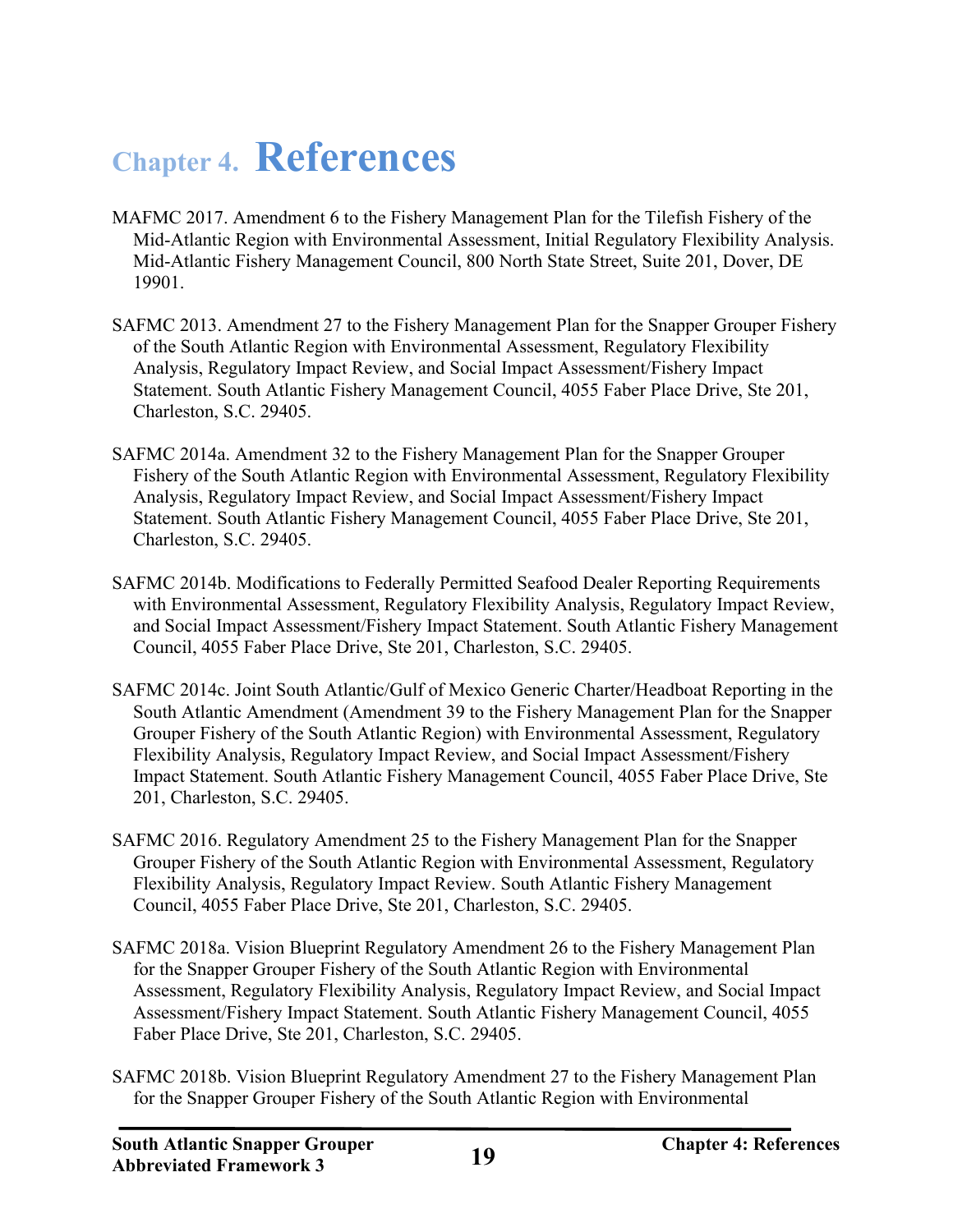## <span id="page-23-0"></span>**Chapter 4. References**

- MAFMC 2017. Amendment 6 to the Fishery Management Plan for the Tilefish Fishery of the Mid-Atlantic Region with Environmental Assessment, Initial Regulatory Flexibility Analysis. Mid-Atlantic Fishery Management Council, 800 North State Street, Suite 201, Dover, DE 19901.
- SAFMC 2013. Amendment 27 to the Fishery Management Plan for the Snapper Grouper Fishery of the South Atlantic Region with Environmental Assessment, Regulatory Flexibility Analysis, Regulatory Impact Review, and Social Impact Assessment/Fishery Impact Statement. South Atlantic Fishery Management Council, 4055 Faber Place Drive, Ste 201, Charleston, S.C. 29405.
- SAFMC 2014a. Amendment 32 to the Fishery Management Plan for the Snapper Grouper Fishery of the South Atlantic Region with Environmental Assessment, Regulatory Flexibility Analysis, Regulatory Impact Review, and Social Impact Assessment/Fishery Impact Statement. South Atlantic Fishery Management Council, 4055 Faber Place Drive, Ste 201, Charleston, S.C. 29405.
- SAFMC 2014b. Modifications to Federally Permitted Seafood Dealer Reporting Requirements with Environmental Assessment, Regulatory Flexibility Analysis, Regulatory Impact Review, and Social Impact Assessment/Fishery Impact Statement. South Atlantic Fishery Management Council, 4055 Faber Place Drive, Ste 201, Charleston, S.C. 29405.
- SAFMC 2014c. Joint South Atlantic/Gulf of Mexico Generic Charter/Headboat Reporting in the South Atlantic Amendment (Amendment 39 to the Fishery Management Plan for the Snapper Grouper Fishery of the South Atlantic Region) with Environmental Assessment, Regulatory Flexibility Analysis, Regulatory Impact Review, and Social Impact Assessment/Fishery Impact Statement. South Atlantic Fishery Management Council, 4055 Faber Place Drive, Ste 201, Charleston, S.C. 29405.
- SAFMC 2016. Regulatory Amendment 25 to the Fishery Management Plan for the Snapper Grouper Fishery of the South Atlantic Region with Environmental Assessment, Regulatory Flexibility Analysis, Regulatory Impact Review. South Atlantic Fishery Management Council, 4055 Faber Place Drive, Ste 201, Charleston, S.C. 29405.
- SAFMC 2018a. Vision Blueprint Regulatory Amendment 26 to the Fishery Management Plan for the Snapper Grouper Fishery of the South Atlantic Region with Environmental Assessment, Regulatory Flexibility Analysis, Regulatory Impact Review, and Social Impact Assessment/Fishery Impact Statement. South Atlantic Fishery Management Council, 4055 Faber Place Drive, Ste 201, Charleston, S.C. 29405.
- SAFMC 2018b. Vision Blueprint Regulatory Amendment 27 to the Fishery Management Plan for the Snapper Grouper Fishery of the South Atlantic Region with Environmental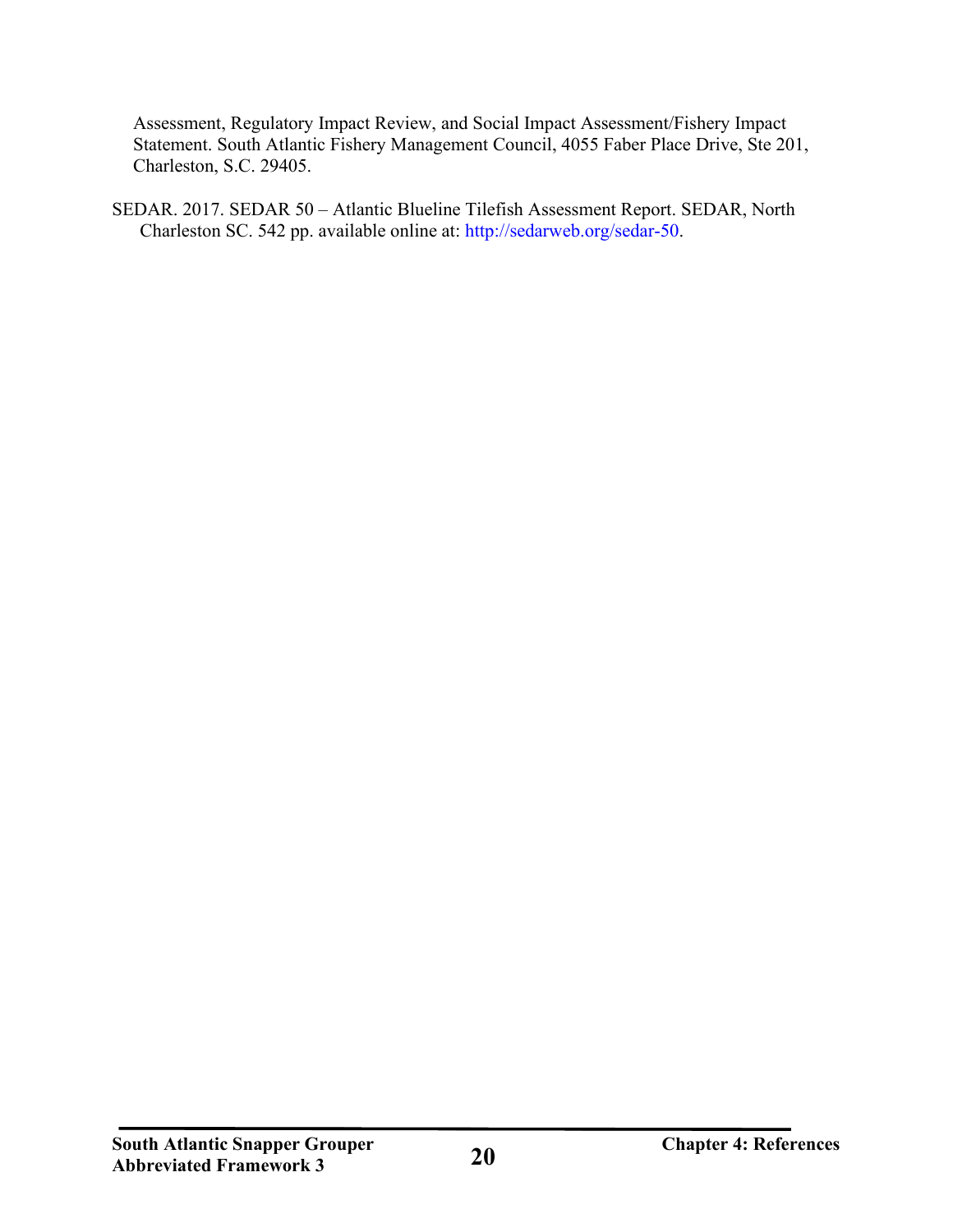Assessment, Regulatory Impact Review, and Social Impact Assessment/Fishery Impact Statement. South Atlantic Fishery Management Council, 4055 Faber Place Drive, Ste 201, Charleston, S.C. 29405.

SEDAR. 2017. SEDAR 50 – Atlantic Blueline Tilefish Assessment Report. SEDAR, North Charleston SC. 542 pp. available online at: http://sedarweb.org/sedar-50.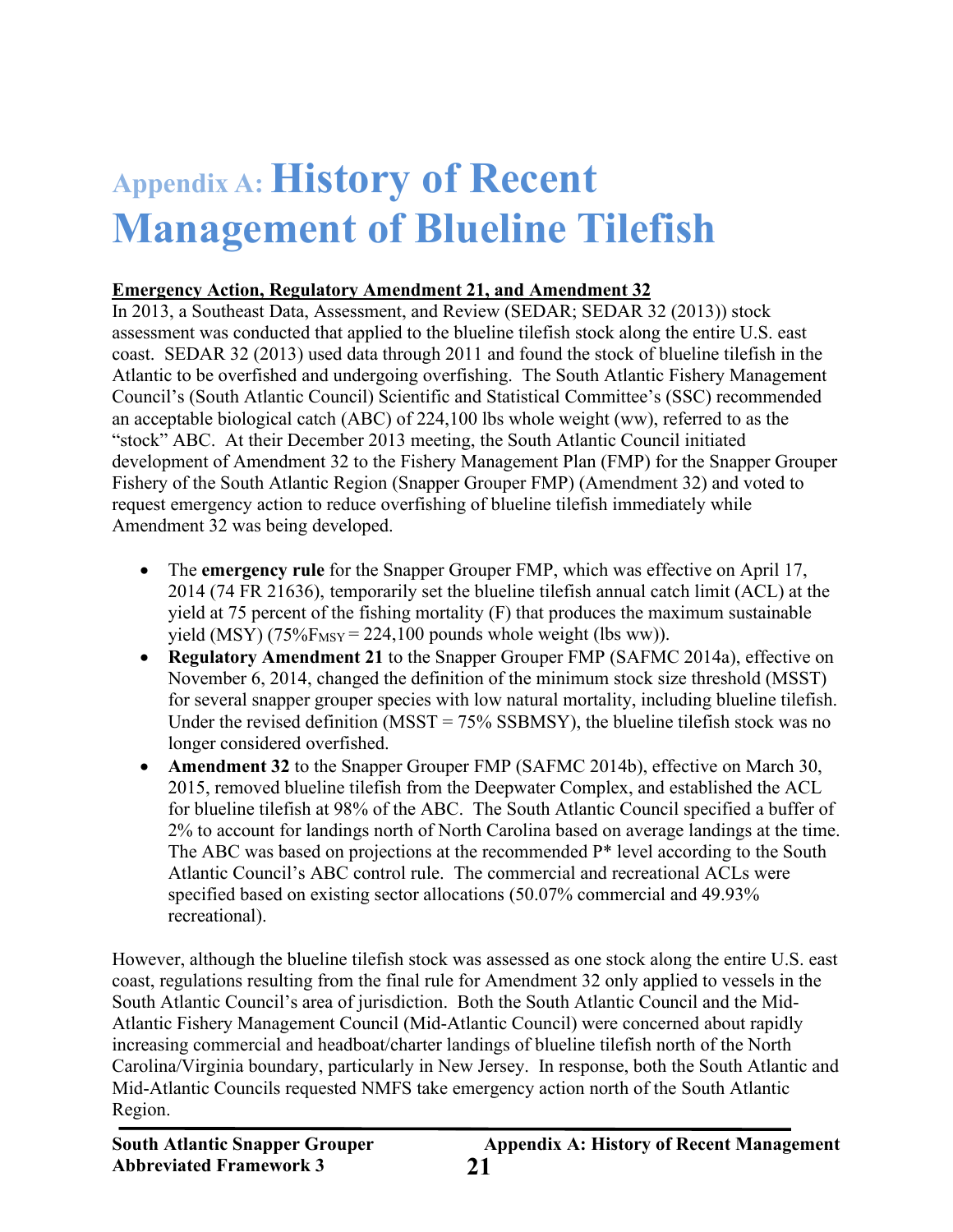# <span id="page-25-0"></span>**Appendix A: History of Recent Management of Blueline Tilefish**

#### **Emergency Action, Regulatory Amendment 21, and Amendment 32**

In 2013, a Southeast Data, Assessment, and Review (SEDAR; SEDAR 32 (2013)) stock assessment was conducted that applied to the blueline tilefish stock along the entire U.S. east coast. SEDAR 32 (2013) used data through 2011 and found the stock of blueline tilefish in the Atlantic to be overfished and undergoing overfishing. The South Atlantic Fishery Management Council's (South Atlantic Council) Scientific and Statistical Committee's (SSC) recommended an acceptable biological catch (ABC) of 224,100 lbs whole weight (ww), referred to as the "stock" ABC. At their December 2013 meeting, the South Atlantic Council initiated development of Amendment 32 to the Fishery Management Plan (FMP) for the Snapper Grouper Fishery of the South Atlantic Region (Snapper Grouper FMP) (Amendment 32) and voted to request emergency action to reduce overfishing of blueline tilefish immediately while Amendment 32 was being developed.

- The **emergency rule** for the Snapper Grouper FMP, which was effective on April 17, 2014 (74 FR 21636), temporarily set the blueline tilefish annual catch limit (ACL) at the yield at 75 percent of the fishing mortality (F) that produces the maximum sustainable yield (MSY) (75% $F_{MSY} = 224,100$  pounds whole weight (lbs ww)).
- **Regulatory Amendment 21** to the Snapper Grouper FMP (SAFMC 2014a), effective on November 6, 2014, changed the definition of the minimum stock size threshold (MSST) for several snapper grouper species with low natural mortality, including blueline tilefish. Under the revised definition ( $M\text{SST} = 75\%$  SSBMSY), the blueline tilefish stock was no longer considered overfished.
- **Amendment 32** to the Snapper Grouper FMP (SAFMC 2014b), effective on March 30, 2015, removed blueline tilefish from the Deepwater Complex, and established the ACL for blueline tilefish at 98% of the ABC. The South Atlantic Council specified a buffer of 2% to account for landings north of North Carolina based on average landings at the time. The ABC was based on projections at the recommended  $P^*$  level according to the South Atlantic Council's ABC control rule. The commercial and recreational ACLs were specified based on existing sector allocations (50.07% commercial and 49.93% recreational).

However, although the blueline tilefish stock was assessed as one stock along the entire U.S. east coast, regulations resulting from the final rule for Amendment 32 only applied to vessels in the South Atlantic Council's area of jurisdiction. Both the South Atlantic Council and the Mid-Atlantic Fishery Management Council (Mid-Atlantic Council) were concerned about rapidly increasing commercial and headboat/charter landings of blueline tilefish north of the North Carolina/Virginia boundary, particularly in New Jersey. In response, both the South Atlantic and Mid-Atlantic Councils requested NMFS take emergency action north of the South Atlantic Region.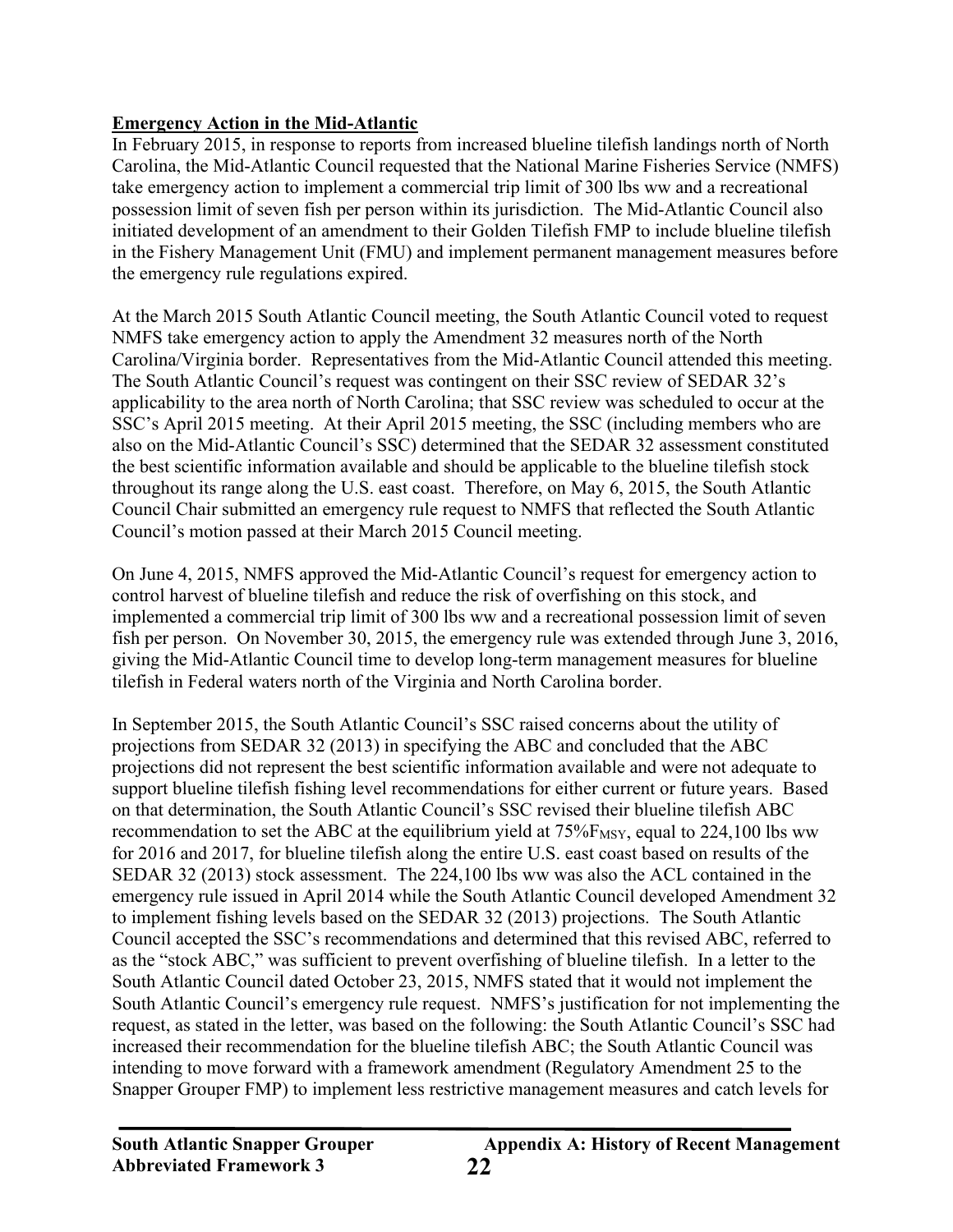#### **Emergency Action in the Mid-Atlantic**

In February 2015, in response to reports from increased blueline tilefish landings north of North Carolina, the Mid-Atlantic Council requested that the National Marine Fisheries Service (NMFS) take emergency action to implement a commercial trip limit of 300 lbs ww and a recreational possession limit of seven fish per person within its jurisdiction. The Mid-Atlantic Council also initiated development of an amendment to their Golden Tilefish FMP to include blueline tilefish in the Fishery Management Unit (FMU) and implement permanent management measures before the emergency rule regulations expired.

At the March 2015 South Atlantic Council meeting, the South Atlantic Council voted to request NMFS take emergency action to apply the Amendment 32 measures north of the North Carolina/Virginia border. Representatives from the Mid-Atlantic Council attended this meeting. The South Atlantic Council's request was contingent on their SSC review of SEDAR 32's applicability to the area north of North Carolina; that SSC review was scheduled to occur at the SSC's April 2015 meeting. At their April 2015 meeting, the SSC (including members who are also on the Mid-Atlantic Council's SSC) determined that the SEDAR 32 assessment constituted the best scientific information available and should be applicable to the blueline tilefish stock throughout its range along the U.S. east coast. Therefore, on May 6, 2015, the South Atlantic Council Chair submitted an emergency rule request to NMFS that reflected the South Atlantic Council's motion passed at their March 2015 Council meeting.

On June 4, 2015, NMFS approved the Mid-Atlantic Council's request for emergency action to control harvest of blueline tilefish and reduce the risk of overfishing on this stock, and implemented a commercial trip limit of 300 lbs ww and a recreational possession limit of seven fish per person. On November 30, 2015, the emergency rule was extended through June 3, 2016, giving the Mid-Atlantic Council time to develop long-term management measures for blueline tilefish in Federal waters north of the Virginia and North Carolina border.

In September 2015, the South Atlantic Council's SSC raised concerns about the utility of projections from SEDAR 32 (2013) in specifying the ABC and concluded that the ABC projections did not represent the best scientific information available and were not adequate to support blueline tilefish fishing level recommendations for either current or future years. Based on that determination, the South Atlantic Council's SSC revised their blueline tilefish ABC recommendation to set the ABC at the equilibrium yield at  $75\%F_{MSY}$ , equal to 224,100 lbs ww for 2016 and 2017, for blueline tilefish along the entire U.S. east coast based on results of the SEDAR 32 (2013) stock assessment. The 224,100 lbs ww was also the ACL contained in the emergency rule issued in April 2014 while the South Atlantic Council developed Amendment 32 to implement fishing levels based on the SEDAR 32 (2013) projections. The South Atlantic Council accepted the SSC's recommendations and determined that this revised ABC, referred to as the "stock ABC," was sufficient to prevent overfishing of blueline tilefish. In a letter to the South Atlantic Council dated October 23, 2015, NMFS stated that it would not implement the South Atlantic Council's emergency rule request. NMFS's justification for not implementing the request, as stated in the letter, was based on the following: the South Atlantic Council's SSC had increased their recommendation for the blueline tilefish ABC; the South Atlantic Council was intending to move forward with a framework amendment (Regulatory Amendment 25 to the Snapper Grouper FMP) to implement less restrictive management measures and catch levels for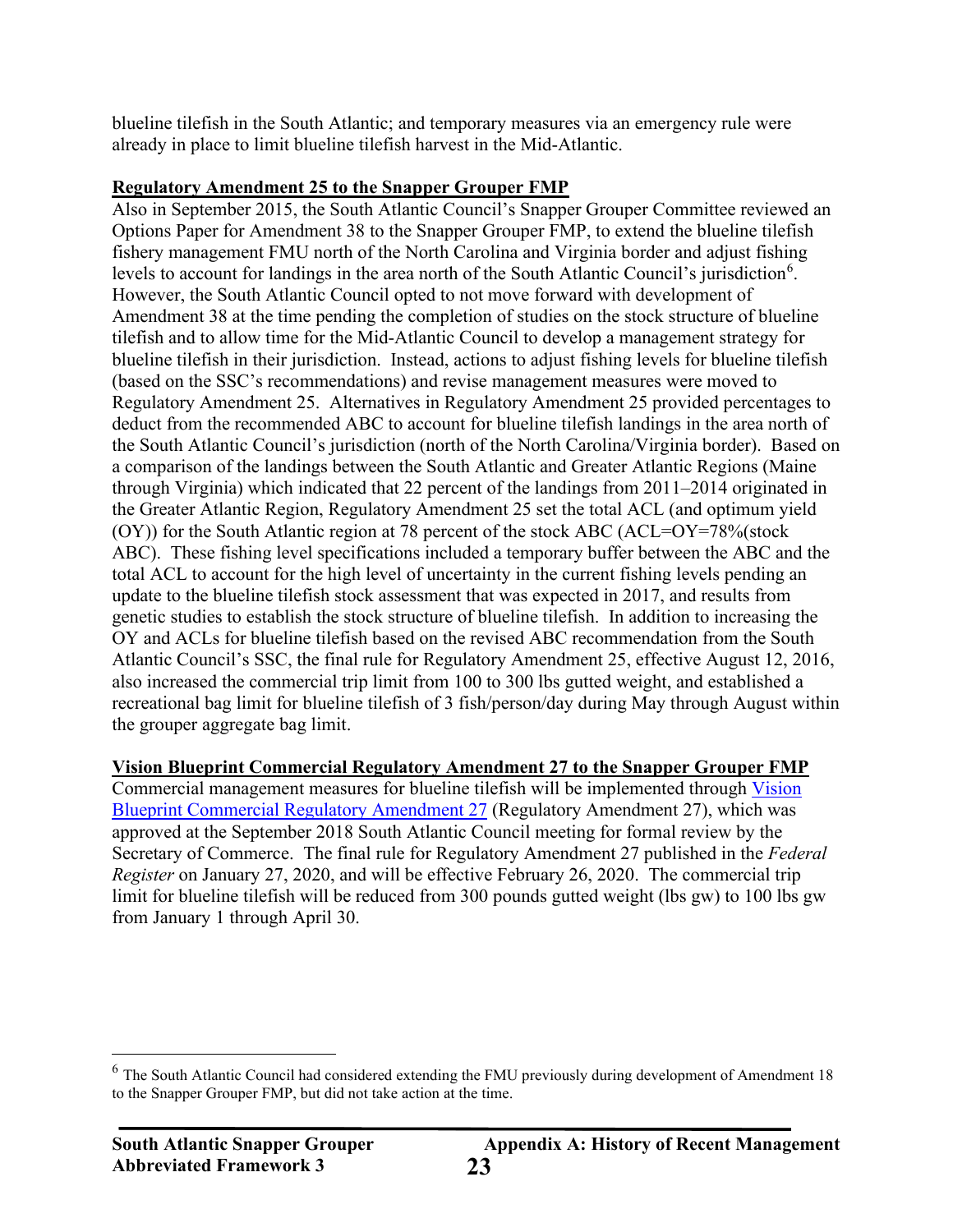blueline tilefish in the South Atlantic; and temporary measures via an emergency rule were already in place to limit blueline tilefish harvest in the Mid-Atlantic.

#### **Regulatory Amendment 25 to the Snapper Grouper FMP**

Also in September 2015, the South Atlantic Council's Snapper Grouper Committee reviewed an Options Paper for Amendment 38 to the Snapper Grouper FMP, to extend the blueline tilefish fishery management FMU north of the North Carolina and Virginia border and adjust fishing levels to account for landings in the area north of the South Atlantic Council's jurisdiction<sup>[6](#page-27-0)</sup>. However, the South Atlantic Council opted to not move forward with development of Amendment 38 at the time pending the completion of studies on the stock structure of blueline tilefish and to allow time for the Mid-Atlantic Council to develop a management strategy for blueline tilefish in their jurisdiction. Instead, actions to adjust fishing levels for blueline tilefish (based on the SSC's recommendations) and revise management measures were moved to Regulatory Amendment 25. Alternatives in Regulatory Amendment 25 provided percentages to deduct from the recommended ABC to account for blueline tilefish landings in the area north of the South Atlantic Council's jurisdiction (north of the North Carolina/Virginia border). Based on a comparison of the landings between the South Atlantic and Greater Atlantic Regions (Maine through Virginia) which indicated that 22 percent of the landings from 2011–2014 originated in the Greater Atlantic Region, Regulatory Amendment 25 set the total ACL (and optimum yield (OY)) for the South Atlantic region at 78 percent of the stock ABC (ACL=OY=78%(stock ABC). These fishing level specifications included a temporary buffer between the ABC and the total ACL to account for the high level of uncertainty in the current fishing levels pending an update to the blueline tilefish stock assessment that was expected in 2017, and results from genetic studies to establish the stock structure of blueline tilefish. In addition to increasing the OY and ACLs for blueline tilefish based on the revised ABC recommendation from the South Atlantic Council's SSC, the final rule for Regulatory Amendment 25, effective August 12, 2016, also increased the commercial trip limit from 100 to 300 lbs gutted weight, and established a recreational bag limit for blueline tilefish of 3 fish/person/day during May through August within the grouper aggregate bag limit.

#### **Vision Blueprint Commercial Regulatory Amendment 27 to the Snapper Grouper FMP**

Commercial management measures for blueline tilefish will be implemented through [Vision](https://www.fisheries.noaa.gov/action/regulatory-amendment-27-vision-blueprint-commercial-measures)  [Blueprint Commercial Regulatory Amendment 27](https://www.fisheries.noaa.gov/action/regulatory-amendment-27-vision-blueprint-commercial-measures) (Regulatory Amendment 27), which was approved at the September 2018 South Atlantic Council meeting for formal review by the Secretary of Commerce. The final rule for Regulatory Amendment 27 published in the *Federal Register* on January 27, 2020, and will be effective February 26, 2020. The commercial trip limit for blueline tilefish will be reduced from 300 pounds gutted weight (lbs gw) to 100 lbs gw from January 1 through April 30.

<span id="page-27-0"></span> $6$  The South Atlantic Council had considered extending the FMU previously during development of Amendment 18 to the Snapper Grouper FMP, but did not take action at the time.